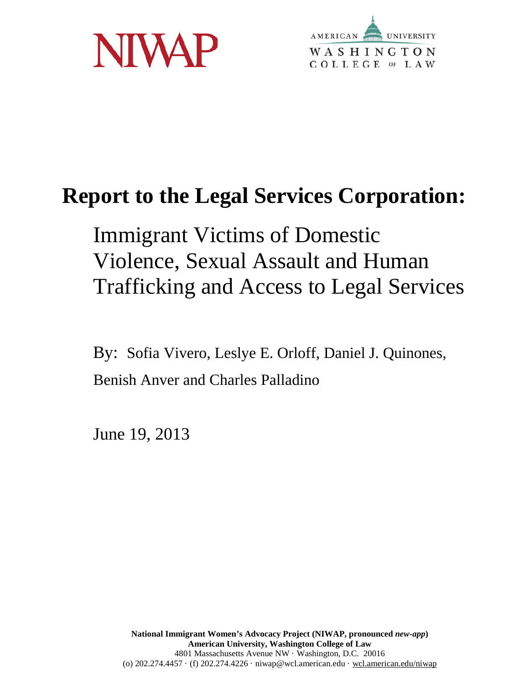



# **Report to the Legal Services Corporation:**

Immigrant Victims of Domestic Violence, Sexual Assault and Human Trafficking and Access to Legal Services

By: Sofia Vivero, Leslye E. Orloff, Daniel J. Quinones, Benish Anver and Charles Palladino

June 19, 2013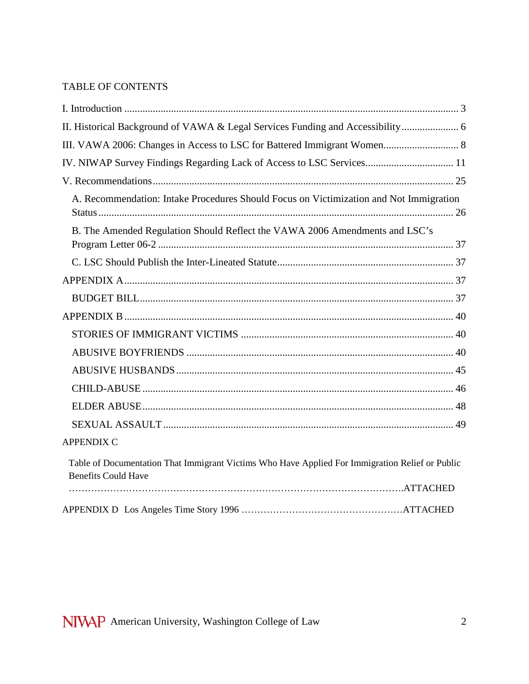## TABLE OF CONTENTS

| IV. NIWAP Survey Findings Regarding Lack of Access to LSC Services 11                                                         |
|-------------------------------------------------------------------------------------------------------------------------------|
|                                                                                                                               |
| A. Recommendation: Intake Procedures Should Focus on Victimization and Not Immigration                                        |
| B. The Amended Regulation Should Reflect the VAWA 2006 Amendments and LSC's                                                   |
|                                                                                                                               |
|                                                                                                                               |
|                                                                                                                               |
|                                                                                                                               |
|                                                                                                                               |
|                                                                                                                               |
|                                                                                                                               |
|                                                                                                                               |
|                                                                                                                               |
|                                                                                                                               |
| <b>APPENDIX C</b>                                                                                                             |
| Table of Documentation That Immigrant Victims Who Have Applied For Immigration Relief or Public<br><b>Benefits Could Have</b> |
|                                                                                                                               |
|                                                                                                                               |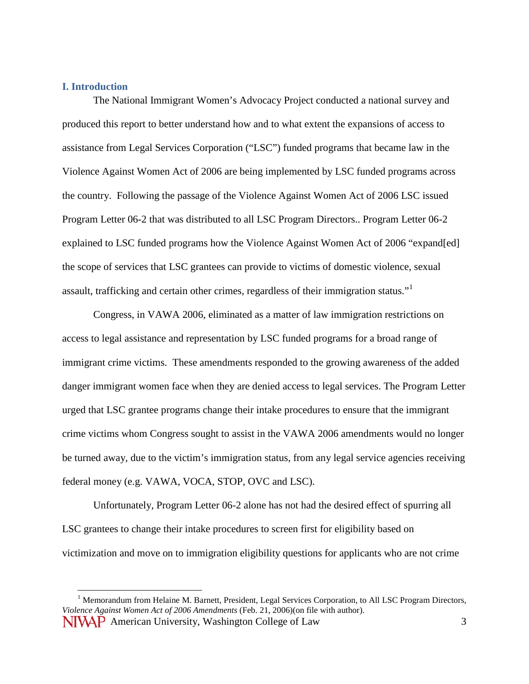#### **I. Introduction**

The National Immigrant Women's Advocacy Project conducted a national survey and produced this report to better understand how and to what extent the expansions of access to assistance from Legal Services Corporation ("LSC") funded programs that became law in the Violence Against Women Act of 2006 are being implemented by LSC funded programs across the country. Following the passage of the Violence Against Women Act of 2006 LSC issued Program Letter 06-2 that was distributed to all LSC Program Directors.. Program Letter 06-2 explained to LSC funded programs how the Violence Against Women Act of 2006 "expand[ed] the scope of services that LSC grantees can provide to victims of domestic violence, sexual assault, trafficking and certain other crimes, regardless of their immigration status."[1](#page-2-0)

Congress, in VAWA 2006, eliminated as a matter of law immigration restrictions on access to legal assistance and representation by LSC funded programs for a broad range of immigrant crime victims. These amendments responded to the growing awareness of the added danger immigrant women face when they are denied access to legal services. The Program Letter urged that LSC grantee programs change their intake procedures to ensure that the immigrant crime victims whom Congress sought to assist in the VAWA 2006 amendments would no longer be turned away, due to the victim's immigration status, from any legal service agencies receiving federal money (e.g. VAWA, VOCA, STOP, OVC and LSC).

Unfortunately, Program Letter 06-2 alone has not had the desired effect of spurring all LSC grantees to change their intake procedures to screen first for eligibility based on victimization and move on to immigration eligibility questions for applicants who are not crime

<span id="page-2-0"></span>NIVAP American University, Washington College of Law 3 <sup>1</sup> Memorandum from Helaine M. Barnett, President, Legal Services Corporation, to All LSC Program Directors, *Violence Against Women Act of 2006 Amendments* (Feb. 21, 2006)(on file with author).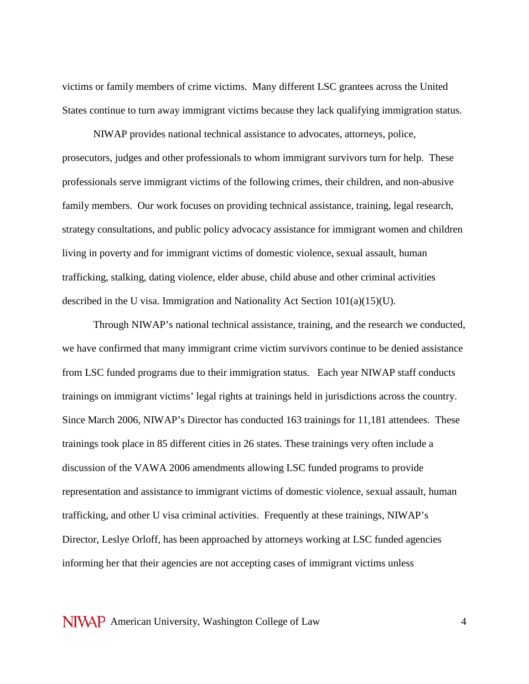victims or family members of crime victims. Many different LSC grantees across the United States continue to turn away immigrant victims because they lack qualifying immigration status.

NIWAP provides national technical assistance to advocates, attorneys, police, prosecutors, judges and other professionals to whom immigrant survivors turn for help. These professionals serve immigrant victims of the following crimes, their children, and non-abusive family members. Our work focuses on providing technical assistance, training, legal research, strategy consultations, and public policy advocacy assistance for immigrant women and children living in poverty and for immigrant victims of domestic violence, sexual assault, human trafficking, stalking, dating violence, elder abuse, child abuse and other criminal activities described in the U visa. Immigration and Nationality Act Section  $101(a)(15)(U)$ .

Through NIWAP's national technical assistance, training, and the research we conducted, we have confirmed that many immigrant crime victim survivors continue to be denied assistance from LSC funded programs due to their immigration status. Each year NIWAP staff conducts trainings on immigrant victims' legal rights at trainings held in jurisdictions across the country. Since March 2006, NIWAP's Director has conducted 163 trainings for 11,181 attendees. These trainings took place in 85 different cities in 26 states. These trainings very often include a discussion of the VAWA 2006 amendments allowing LSC funded programs to provide representation and assistance to immigrant victims of domestic violence, sexual assault, human trafficking, and other U visa criminal activities. Frequently at these trainings, NIWAP's Director, Leslye Orloff, has been approached by attorneys working at LSC funded agencies informing her that their agencies are not accepting cases of immigrant victims unless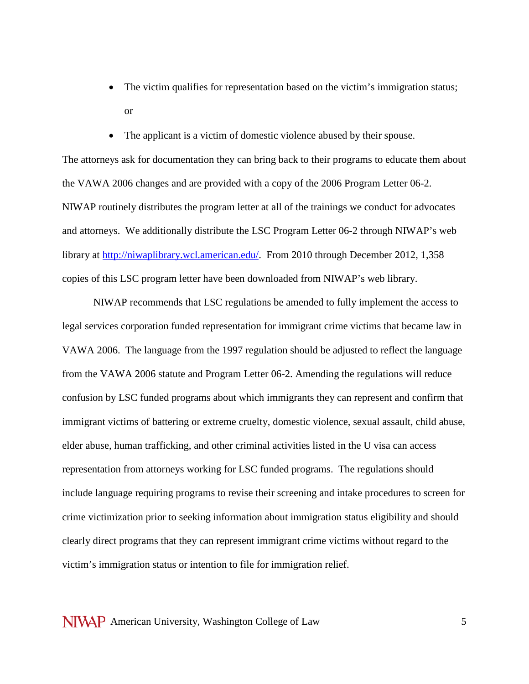- The victim qualifies for representation based on the victim's immigration status; or
- The applicant is a victim of domestic violence abused by their spouse.

The attorneys ask for documentation they can bring back to their programs to educate them about the VAWA 2006 changes and are provided with a copy of the 2006 Program Letter 06-2. NIWAP routinely distributes the program letter at all of the trainings we conduct for advocates and attorneys. We additionally distribute the LSC Program Letter 06-2 through NIWAP's web library at [http://niwaplibrary.wcl.american.edu/.](http://niwaplibrary.wcl.american.edu/) From 2010 through December 2012, 1,358 copies of this LSC program letter have been downloaded from NIWAP's web library.

NIWAP recommends that LSC regulations be amended to fully implement the access to legal services corporation funded representation for immigrant crime victims that became law in VAWA 2006. The language from the 1997 regulation should be adjusted to reflect the language from the VAWA 2006 statute and Program Letter 06-2. Amending the regulations will reduce confusion by LSC funded programs about which immigrants they can represent and confirm that immigrant victims of battering or extreme cruelty, domestic violence, sexual assault, child abuse, elder abuse, human trafficking, and other criminal activities listed in the U visa can access representation from attorneys working for LSC funded programs. The regulations should include language requiring programs to revise their screening and intake procedures to screen for crime victimization prior to seeking information about immigration status eligibility and should clearly direct programs that they can represent immigrant crime victims without regard to the victim's immigration status or intention to file for immigration relief.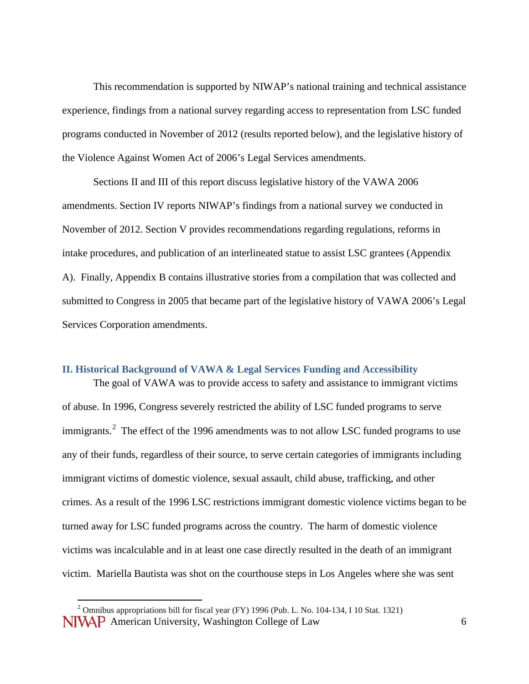This recommendation is supported by NIWAP's national training and technical assistance experience, findings from a national survey regarding access to representation from LSC funded programs conducted in November of 2012 (results reported below), and the legislative history of the Violence Against Women Act of 2006's Legal Services amendments.

Sections II and III of this report discuss legislative history of the VAWA 2006 amendments. Section IV reports NIWAP's findings from a national survey we conducted in November of 2012. Section V provides recommendations regarding regulations, reforms in intake procedures, and publication of an interlineated statue to assist LSC grantees (Appendix A). Finally, Appendix B contains illustrative stories from a compilation that was collected and submitted to Congress in 2005 that became part of the legislative history of VAWA 2006's Legal Services Corporation amendments.

#### **II. Historical Background of VAWA & Legal Services Funding and Accessibility**

The goal of VAWA was to provide access to safety and assistance to immigrant victims of abuse. In 1996, Congress severely restricted the ability of LSC funded programs to serve immigrants.<sup>[2](#page-5-0)</sup> The effect of the 1996 amendments was to not allow LSC funded programs to use any of their funds, regardless of their source, to serve certain categories of immigrants including immigrant victims of domestic violence, sexual assault, child abuse, trafficking, and other crimes. As a result of the 1996 LSC restrictions immigrant domestic violence victims began to be turned away for LSC funded programs across the country. The harm of domestic violence victims was incalculable and in at least one case directly resulted in the death of an immigrant victim. Mariella Bautista was shot on the courthouse steps in Los Angeles where she was sent

<span id="page-5-0"></span>**NIVAP** American University, Washington College of Law 6 <sup>2</sup> Omnibus appropriations bill for fiscal year (FY) 1996 (Pub. L. No. 104-134, I 10 Stat. 1321)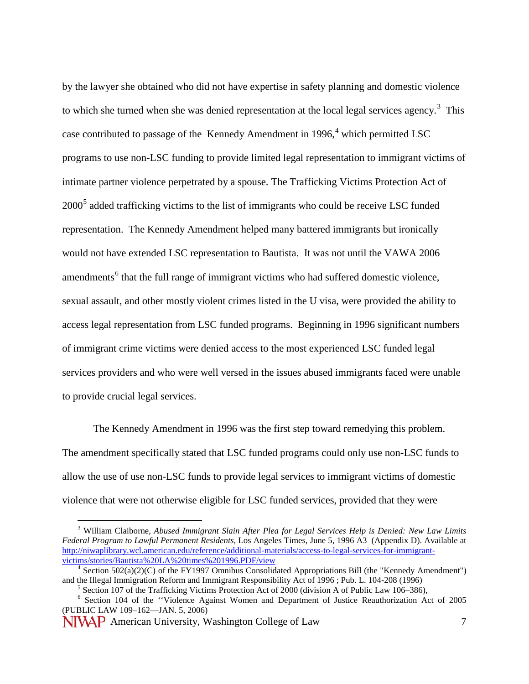by the lawyer she obtained who did not have expertise in safety planning and domestic violence to which she turned when she was denied representation at the local legal services agency.<sup>[3](#page-6-0)</sup> This case contributed to passage of the Kennedy Amendment in  $1996<sup>4</sup>$  $1996<sup>4</sup>$  $1996<sup>4</sup>$  which permitted LSC programs to use non-LSC funding to provide limited legal representation to immigrant victims of intimate partner violence perpetrated by a spouse. The Trafficking Victims Protection Act of 2000<sup>[5](#page-6-2)</sup> added trafficking victims to the list of immigrants who could be receive LSC funded representation. The Kennedy Amendment helped many battered immigrants but ironically would not have extended LSC representation to Bautista. It was not until the VAWA 2006 amendments<sup>[6](#page-6-3)</sup> that the full range of immigrant victims who had suffered domestic violence, sexual assault, and other mostly violent crimes listed in the U visa, were provided the ability to access legal representation from LSC funded programs. Beginning in 1996 significant numbers of immigrant crime victims were denied access to the most experienced LSC funded legal services providers and who were well versed in the issues abused immigrants faced were unable to provide crucial legal services.

The Kennedy Amendment in 1996 was the first step toward remedying this problem. The amendment specifically stated that LSC funded programs could only use non-LSC funds to allow the use of use non-LSC funds to provide legal services to immigrant victims of domestic violence that were not otherwise eligible for LSC funded services, provided that they were

<span id="page-6-0"></span> <sup>3</sup> William Claiborne, *Abused Immigrant Slain After Plea for Legal Services Help is Denied: New Law Limits Federal Program to Lawful Permanent Residents,* Los Angeles Times, June 5, 1996 A3 (Appendix D). Available at http://niwaplibrary.wcl.american.edu/reference/additional-materials/access-to-legal-services-for-immigrant-<br>victims/stories/Bautista%20LA%20times%201996.PDF/view

<span id="page-6-1"></span><sup>&</sup>lt;sup>4</sup> Section 502(a)(2)(C) of the FY1997 Omnibus Consolidated Appropriations Bill (the "Kennedy Amendment") and the Illegal Immigration Reform and Immigrant Responsibility Act of 1996; Pub. L. 104-208 (1996)

 $5$  Section 107 of the Trafficking Victims Protection Act of 2000 (division A of Public Law 106–386),<br><sup>6</sup> Section 104 of the "Violence Against Women and Department of Justice Reauthorization Act of 2005

<span id="page-6-3"></span><span id="page-6-2"></span><sup>(</sup>PUBLIC LAW 109–162—JAN. 5, 2006)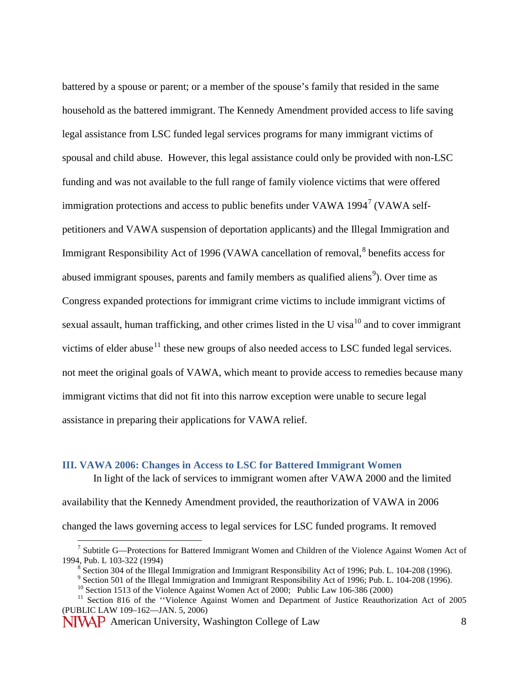battered by a spouse or parent; or a member of the spouse's family that resided in the same household as the battered immigrant. The Kennedy Amendment provided access to life saving legal assistance from LSC funded legal services programs for many immigrant victims of spousal and child abuse. However, this legal assistance could only be provided with non-LSC funding and was not available to the full range of family violence victims that were offered immigration protections and access to public benefits under VAWA  $1994<sup>7</sup>$  $1994<sup>7</sup>$  $1994<sup>7</sup>$  (VAWA selfpetitioners and VAWA suspension of deportation applicants) and the Illegal Immigration and Immigrant Responsibility Act of 1996 (VAWA cancellation of removal,<sup>[8](#page-7-1)</sup> benefits access for abused immigrant spouses, parents and family members as qualified aliens<sup>[9](#page-7-2)</sup>). Over time as Congress expanded protections for immigrant crime victims to include immigrant victims of sexual assault, human trafficking, and other crimes listed in the U visa<sup>[10](#page-7-3)</sup> and to cover immigrant victims of elder abuse<sup>[11](#page-7-4)</sup> these new groups of also needed access to LSC funded legal services. not meet the original goals of VAWA, which meant to provide access to remedies because many immigrant victims that did not fit into this narrow exception were unable to secure legal assistance in preparing their applications for VAWA relief.

## **III. VAWA 2006: Changes in Access to LSC for Battered Immigrant Women**

In light of the lack of services to immigrant women after VAWA 2000 and the limited

availability that the Kennedy Amendment provided, the reauthorization of VAWA in 2006

changed the laws governing access to legal services for LSC funded programs. It removed

<span id="page-7-0"></span><sup>&</sup>lt;sup>7</sup> Subtitle G—Protections for Battered Immigrant Women and Children of the Violence Against Women Act of 1994, Pub. L 103-322 (1994)

<span id="page-7-3"></span><span id="page-7-2"></span><span id="page-7-1"></span><sup>&</sup>lt;sup>8</sup> Section 304 of the Illegal Immigration and Immigrant Responsibility Act of 1996; Pub. L. 104-208 (1996).<br><sup>9</sup> Section 501 of the Illegal Immigration and Immigrant Responsibility Act of 1996; Pub. L. 104-208 (1996).<br><sup>10</sup> (PUBLIC LAW 109–162—JAN. 5, 2006)

<span id="page-7-4"></span>NIVAP American University, Washington College of Law 8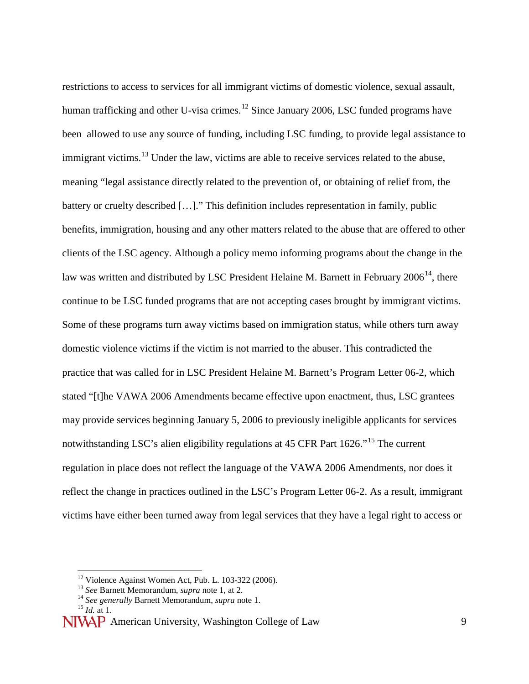restrictions to access to services for all immigrant victims of domestic violence, sexual assault, human trafficking and other U-visa crimes.<sup>[12](#page-8-0)</sup> Since January 2006, LSC funded programs have been allowed to use any source of funding, including LSC funding, to provide legal assistance to immigrant victims.<sup>[13](#page-8-1)</sup> Under the law, victims are able to receive services related to the abuse, meaning "legal assistance directly related to the prevention of, or obtaining of relief from, the battery or cruelty described […]." This definition includes representation in family, public benefits, immigration, housing and any other matters related to the abuse that are offered to other clients of the LSC agency. Although a policy memo informing programs about the change in the law was written and distributed by LSC President Helaine M. Barnett in February  $2006^{14}$ , there continue to be LSC funded programs that are not accepting cases brought by immigrant victims. Some of these programs turn away victims based on immigration status, while others turn away domestic violence victims if the victim is not married to the abuser. This contradicted the practice that was called for in LSC President Helaine M. Barnett's Program Letter 06-2, which stated "[t]he VAWA 2006 Amendments became effective upon enactment, thus, LSC grantees may provide services beginning January 5, 2006 to previously ineligible applicants for services notwithstanding LSC's alien eligibility regulations at 45 CFR Part 1626."<sup>[15](#page-8-3)</sup> The current regulation in place does not reflect the language of the VAWA 2006 Amendments, nor does it reflect the change in practices outlined in the LSC's Program Letter 06-2. As a result, immigrant victims have either been turned away from legal services that they have a legal right to access or

<sup>12</sup> Violence Against Women Act, Pub. L. 103-322 (2006). <sup>13</sup> *See* Barnett Memorandum, *supra* note 1, at 2. <sup>14</sup> *See generally* Barnett Memorandum, *supra* note 1. <sup>15</sup> *Id.* at 1.

<span id="page-8-3"></span><span id="page-8-2"></span><span id="page-8-1"></span><span id="page-8-0"></span>NIVAP American University, Washington College of Law 9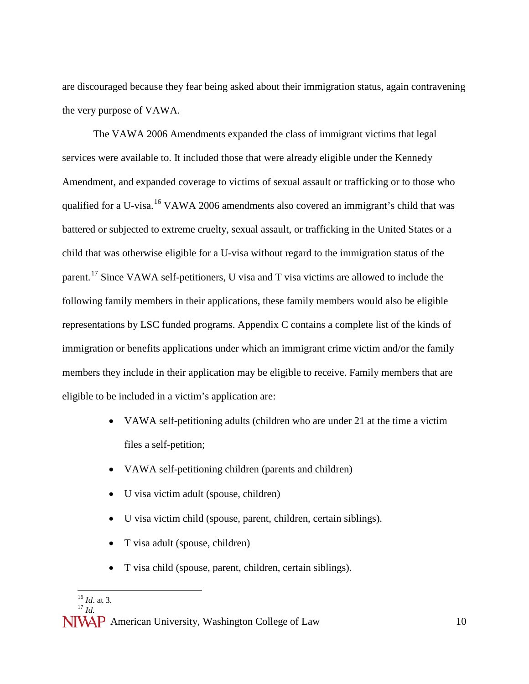are discouraged because they fear being asked about their immigration status, again contravening the very purpose of VAWA.

The VAWA 2006 Amendments expanded the class of immigrant victims that legal services were available to. It included those that were already eligible under the Kennedy Amendment, and expanded coverage to victims of sexual assault or trafficking or to those who qualified for a U-visa.<sup>[16](#page-9-0)</sup> VAWA 2006 amendments also covered an immigrant's child that was battered or subjected to extreme cruelty, sexual assault, or trafficking in the United States or a child that was otherwise eligible for a U-visa without regard to the immigration status of the parent.<sup>[17](#page-9-1)</sup> Since VAWA self-petitioners, U visa and T visa victims are allowed to include the following family members in their applications, these family members would also be eligible representations by LSC funded programs. Appendix C contains a complete list of the kinds of immigration or benefits applications under which an immigrant crime victim and/or the family members they include in their application may be eligible to receive. Family members that are eligible to be included in a victim's application are:

- VAWA self-petitioning adults (children who are under 21 at the time a victim files a self-petition;
- VAWA self-petitioning children (parents and children)
- U visa victim adult (spouse, children)
- U visa victim child (spouse, parent, children, certain siblings).
- T visa adult (spouse, children)
- T visa child (spouse, parent, children, certain siblings).

<sup>&</sup>lt;sup>16</sup> *Id.* at 3.

<span id="page-9-1"></span><span id="page-9-0"></span>NIVAP American University, Washington College of Law 10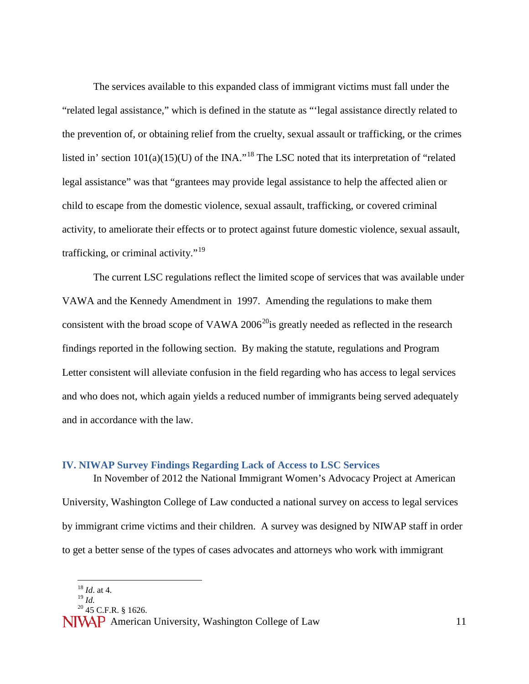The services available to this expanded class of immigrant victims must fall under the "related legal assistance," which is defined in the statute as "'legal assistance directly related to the prevention of, or obtaining relief from the cruelty, sexual assault or trafficking, or the crimes listed in' section  $101(a)(15)(U)$  of the INA."<sup>[18](#page-10-0)</sup> The LSC noted that its interpretation of "related" legal assistance" was that "grantees may provide legal assistance to help the affected alien or child to escape from the domestic violence, sexual assault, trafficking, or covered criminal activity, to ameliorate their effects or to protect against future domestic violence, sexual assault, trafficking, or criminal activity."<sup>[19](#page-10-1)</sup>

The current LSC regulations reflect the limited scope of services that was available under VAWA and the Kennedy Amendment in 1997. Amending the regulations to make them consistent with the broad scope of VAWA  $2006^{20}$  is greatly needed as reflected in the research findings reported in the following section. By making the statute, regulations and Program Letter consistent will alleviate confusion in the field regarding who has access to legal services and who does not, which again yields a reduced number of immigrants being served adequately and in accordance with the law.

#### **IV. NIWAP Survey Findings Regarding Lack of Access to LSC Services**

In November of 2012 the National Immigrant Women's Advocacy Project at American University, Washington College of Law conducted a national survey on access to legal services by immigrant crime victims and their children. A survey was designed by NIWAP staff in order to get a better sense of the types of cases advocates and attorneys who work with immigrant

<sup>20</sup> 45 C.F.R. § 1626.

 $\frac{18}{19}$  *Id.* at 4.

<span id="page-10-2"></span><span id="page-10-1"></span><span id="page-10-0"></span>NIVAP American University, Washington College of Law 11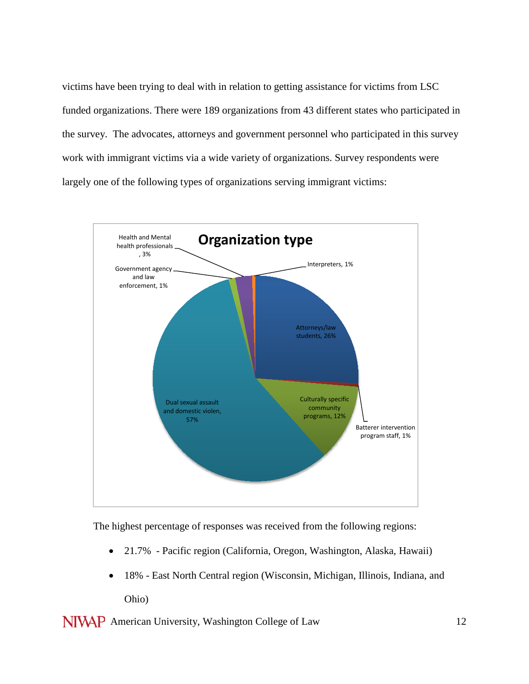victims have been trying to deal with in relation to getting assistance for victims from LSC funded organizations. There were 189 organizations from 43 different states who participated in the survey. The advocates, attorneys and government personnel who participated in this survey work with immigrant victims via a wide variety of organizations. Survey respondents were largely one of the following types of organizations serving immigrant victims:



The highest percentage of responses was received from the following regions:

- 21.7% Pacific region (California, Oregon, Washington, Alaska, Hawaii)
- 18% East North Central region (Wisconsin, Michigan, Illinois, Indiana, and Ohio)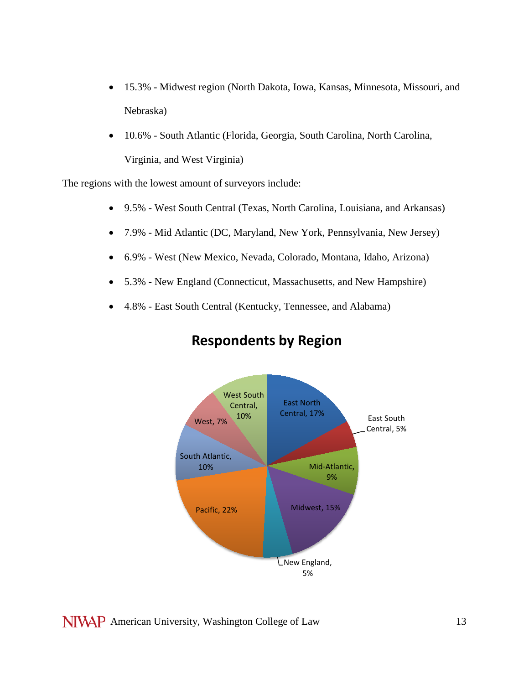- 15.3% Midwest region (North Dakota, Iowa, Kansas, Minnesota, Missouri, and Nebraska)
- 10.6% South Atlantic (Florida, Georgia, South Carolina, North Carolina, Virginia, and West Virginia)

The regions with the lowest amount of surveyors include:

- 9.5% West South Central (Texas, North Carolina, Louisiana, and Arkansas)
- 7.9% Mid Atlantic (DC, Maryland, New York, Pennsylvania, New Jersey)
- 6.9% West (New Mexico, Nevada, Colorado, Montana, Idaho, Arizona)
- 5.3% New England (Connecticut, Massachusetts, and New Hampshire)
- 4.8% East South Central (Kentucky, Tennessee, and Alabama)



## **Respondents by Region**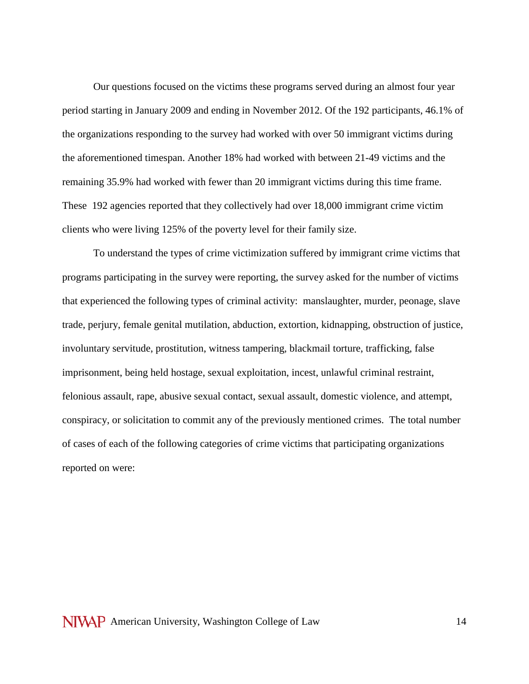Our questions focused on the victims these programs served during an almost four year period starting in January 2009 and ending in November 2012. Of the 192 participants, 46.1% of the organizations responding to the survey had worked with over 50 immigrant victims during the aforementioned timespan. Another 18% had worked with between 21-49 victims and the remaining 35.9% had worked with fewer than 20 immigrant victims during this time frame. These 192 agencies reported that they collectively had over 18,000 immigrant crime victim clients who were living 125% of the poverty level for their family size.

To understand the types of crime victimization suffered by immigrant crime victims that programs participating in the survey were reporting, the survey asked for the number of victims that experienced the following types of criminal activity: manslaughter, murder, peonage, slave trade, perjury, female genital mutilation, abduction, extortion, kidnapping, obstruction of justice, involuntary servitude, prostitution, witness tampering, blackmail torture, trafficking, false imprisonment, being held hostage, sexual exploitation, incest, unlawful criminal restraint, felonious assault, rape, abusive sexual contact, sexual assault, domestic violence, and attempt, conspiracy, or solicitation to commit any of the previously mentioned crimes. The total number of cases of each of the following categories of crime victims that participating organizations reported on were: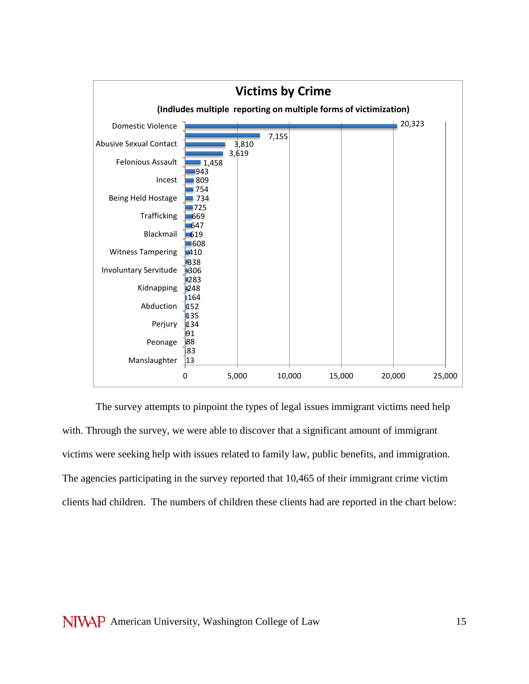

The survey attempts to pinpoint the types of legal issues immigrant victims need help with. Through the survey, we were able to discover that a significant amount of immigrant victims were seeking help with issues related to family law, public benefits, and immigration. The agencies participating in the survey reported that 10,465 of their immigrant crime victim clients had children. The numbers of children these clients had are reported in the chart below: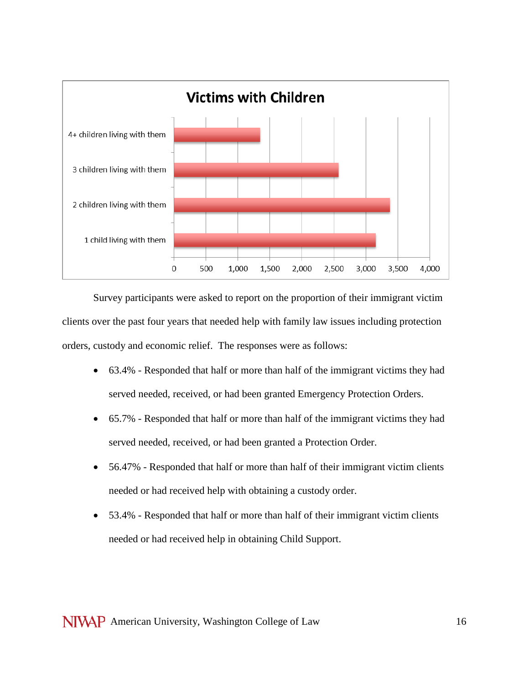

Survey participants were asked to report on the proportion of their immigrant victim clients over the past four years that needed help with family law issues including protection orders, custody and economic relief. The responses were as follows:

- 63.4% Responded that half or more than half of the immigrant victims they had served needed, received, or had been granted Emergency Protection Orders.
- 65.7% Responded that half or more than half of the immigrant victims they had served needed, received, or had been granted a Protection Order.
- 56.47% Responded that half or more than half of their immigrant victim clients needed or had received help with obtaining a custody order.
- 53.4% Responded that half or more than half of their immigrant victim clients needed or had received help in obtaining Child Support.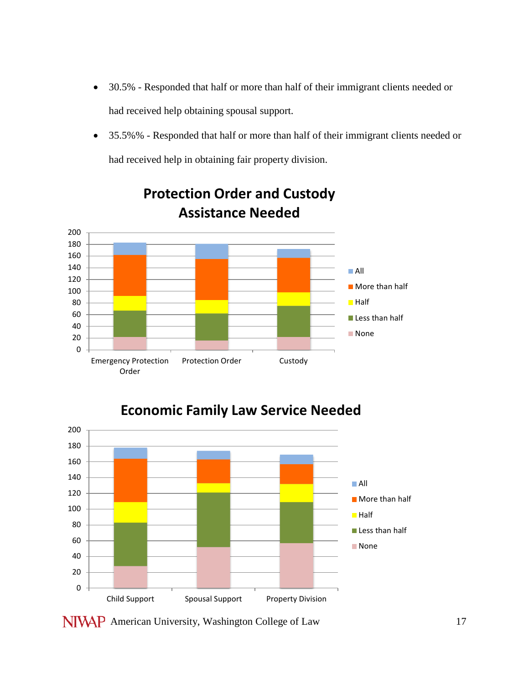- 30.5% Responded that half or more than half of their immigrant clients needed or had received help obtaining spousal support.
- 35.5%% Responded that half or more than half of their immigrant clients needed or had received help in obtaining fair property division.



## **Protection Order and Custody Assistance Needed**



**Economic Family Law Service Needed**

NIVAP American University, Washington College of Law 17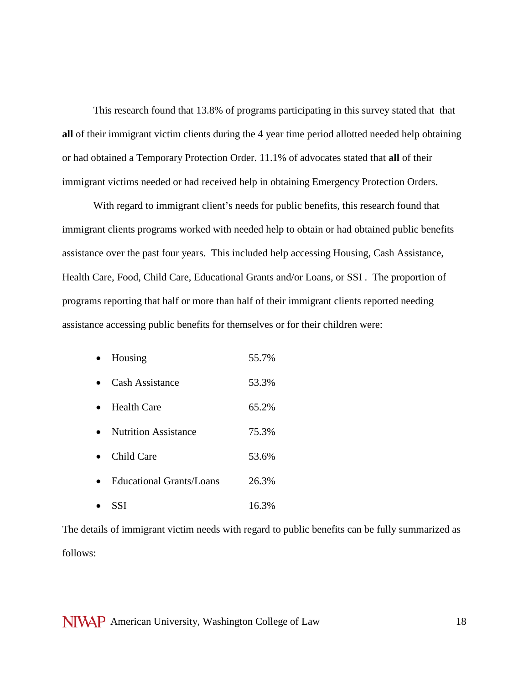This research found that 13.8% of programs participating in this survey stated that that **all** of their immigrant victim clients during the 4 year time period allotted needed help obtaining or had obtained a Temporary Protection Order. 11.1% of advocates stated that **all** of their immigrant victims needed or had received help in obtaining Emergency Protection Orders.

With regard to immigrant client's needs for public benefits, this research found that immigrant clients programs worked with needed help to obtain or had obtained public benefits assistance over the past four years. This included help accessing Housing, Cash Assistance, Health Care, Food, Child Care, Educational Grants and/or Loans, or SSI . The proportion of programs reporting that half or more than half of their immigrant clients reported needing assistance accessing public benefits for themselves or for their children were:

- Housing 55.7%
- Cash Assistance 53.3%
- Health Care 65.2%
- Nutrition Assistance 75.3%
- Child Care 53.6%
- Educational Grants/Loans 26.3%
- SSI  $16.3\%$

The details of immigrant victim needs with regard to public benefits can be fully summarized as follows: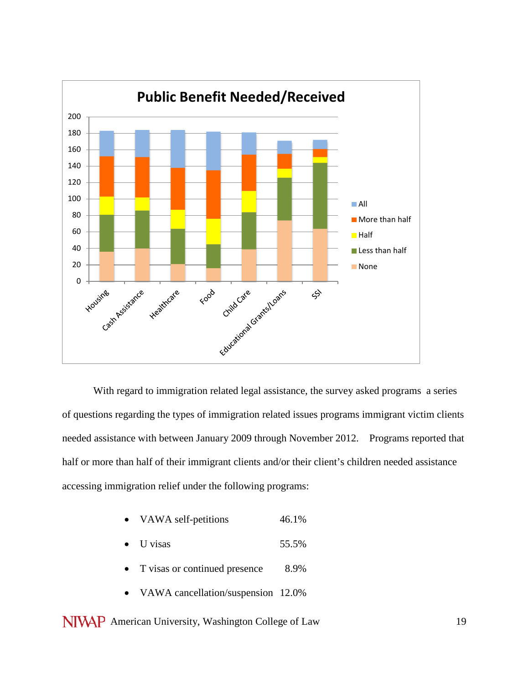

With regard to immigration related legal assistance, the survey asked programs a series of questions regarding the types of immigration related issues programs immigrant victim clients needed assistance with between January 2009 through November 2012. Programs reported that half or more than half of their immigrant clients and/or their client's children needed assistance accessing immigration relief under the following programs:

- VAWA self-petitions 46.1%
- $U$  visas  $55.5\%$
- T visas or continued presence 8.9%
- VAWA cancellation/suspension 12.0%
- NIVAP American University, Washington College of Law 19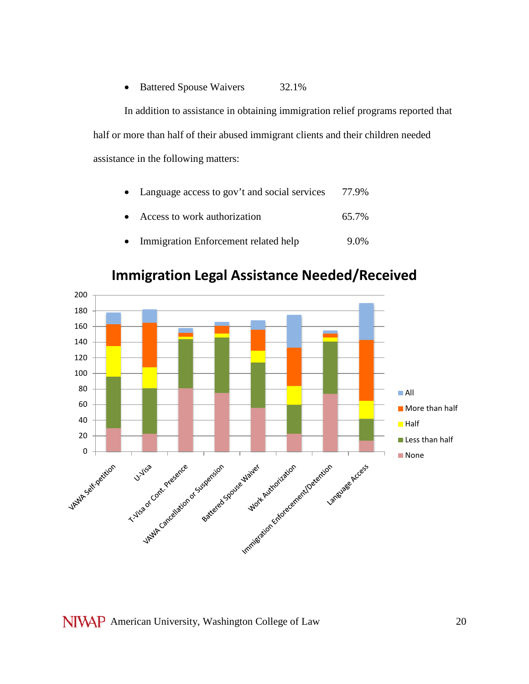## • Battered Spouse Waivers 32.1%

In addition to assistance in obtaining immigration relief programs reported that half or more than half of their abused immigrant clients and their children needed assistance in the following matters:

| • Language access to gov't and social services | 77.9% |
|------------------------------------------------|-------|
|                                                |       |

- Access to work authorization 65.7%
- Immigration Enforcement related help 9.0%



## **Immigration Legal Assistance Needed/Received**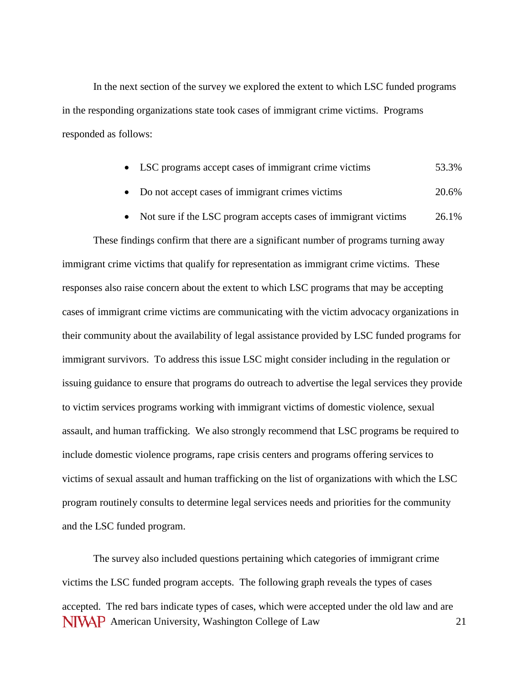In the next section of the survey we explored the extent to which LSC funded programs in the responding organizations state took cases of immigrant crime victims. Programs responded as follows:

- LSC programs accept cases of immigrant crime victims 53.3%
- Do not accept cases of immigrant crimes victims 20.6%
- Not sure if the LSC program accepts cases of immigrant victims 26.1%

These findings confirm that there are a significant number of programs turning away immigrant crime victims that qualify for representation as immigrant crime victims. These responses also raise concern about the extent to which LSC programs that may be accepting cases of immigrant crime victims are communicating with the victim advocacy organizations in their community about the availability of legal assistance provided by LSC funded programs for immigrant survivors. To address this issue LSC might consider including in the regulation or issuing guidance to ensure that programs do outreach to advertise the legal services they provide to victim services programs working with immigrant victims of domestic violence, sexual assault, and human trafficking. We also strongly recommend that LSC programs be required to include domestic violence programs, rape crisis centers and programs offering services to victims of sexual assault and human trafficking on the list of organizations with which the LSC program routinely consults to determine legal services needs and priorities for the community and the LSC funded program.

NIVAP American University, Washington College of Law 21 The survey also included questions pertaining which categories of immigrant crime victims the LSC funded program accepts. The following graph reveals the types of cases accepted. The red bars indicate types of cases, which were accepted under the old law and are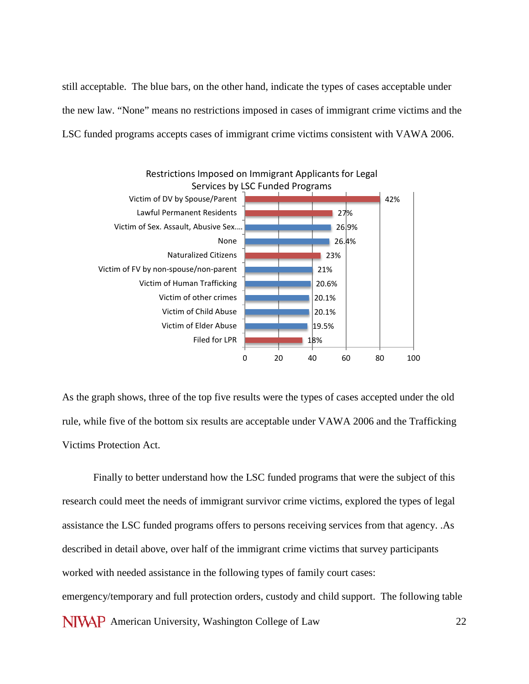still acceptable. The blue bars, on the other hand, indicate the types of cases acceptable under the new law. "None" means no restrictions imposed in cases of immigrant crime victims and the LSC funded programs accepts cases of immigrant crime victims consistent with VAWA 2006.



As the graph shows, three of the top five results were the types of cases accepted under the old rule, while five of the bottom six results are acceptable under VAWA 2006 and the Trafficking Victims Protection Act.

NIVAP American University, Washington College of Law 22 Finally to better understand how the LSC funded programs that were the subject of this research could meet the needs of immigrant survivor crime victims, explored the types of legal assistance the LSC funded programs offers to persons receiving services from that agency. .As described in detail above, over half of the immigrant crime victims that survey participants worked with needed assistance in the following types of family court cases: emergency/temporary and full protection orders, custody and child support. The following table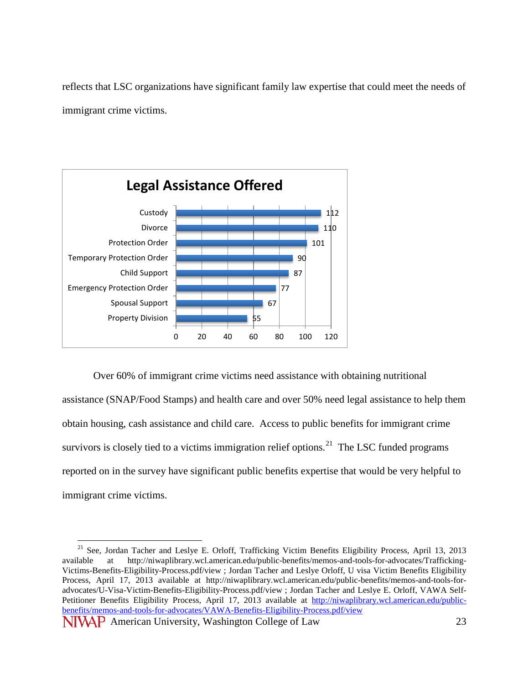reflects that LSC organizations have significant family law expertise that could meet the needs of immigrant crime victims.



Over 60% of immigrant crime victims need assistance with obtaining nutritional assistance (SNAP/Food Stamps) and health care and over 50% need legal assistance to help them obtain housing, cash assistance and child care. Access to public benefits for immigrant crime survivors is closely tied to a victims immigration relief options.<sup>[21](#page-22-0)</sup> The LSC funded programs reported on in the survey have significant public benefits expertise that would be very helpful to immigrant crime victims.

<span id="page-22-0"></span><sup>&</sup>lt;sup>21</sup> See, Jordan Tacher and Leslye E. Orloff, Trafficking Victim Benefits Eligibility Process, April 13, 2013 available at http://niwaplibrary.wcl.american.edu/public-benefits/memos-and-tools-for-advocates/Trafficking-Victims-Benefits-Eligibility-Process.pdf/view ; Jordan Tacher and Leslye Orloff, U visa Victim Benefits Eligibility Process, April 17, 2013 available at http://niwaplibrary.wcl.american.edu/public-benefits/memos-and-tools-foradvocates/U-Visa-Victim-Benefits-Eligibility-Process.pdf/view ; Jordan Tacher and Leslye E. Orloff, VAWA SelfPetitioner Benefits Eligibility Process, April 17, 2013 available at [http://niwaplibrary.wcl.american.edu/public](http://niwaplibrary.wcl.american.edu/public-benefits/memos-and-tools-for-advocates/VAWA-Benefits-Eligibility-Process.pdf/view)[benefits/memos-and-tools-for-advocates/VAWA-Benefits-Eligibility-Process.pdf/view](http://niwaplibrary.wcl.american.edu/public-benefits/memos-and-tools-for-advocates/VAWA-Benefits-Eligibility-Process.pdf/view)

NIVAP American University, Washington College of Law 23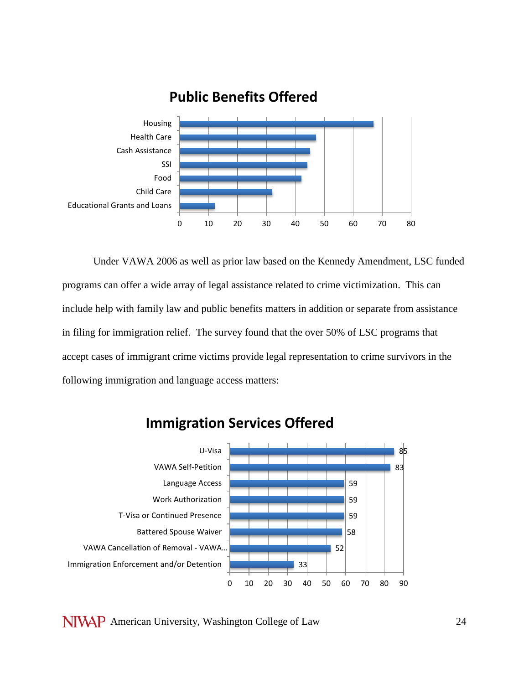

**Public Benefits Offered**

Under VAWA 2006 as well as prior law based on the Kennedy Amendment, LSC funded programs can offer a wide array of legal assistance related to crime victimization. This can include help with family law and public benefits matters in addition or separate from assistance in filing for immigration relief. The survey found that the over 50% of LSC programs that accept cases of immigrant crime victims provide legal representation to crime survivors in the following immigration and language access matters:



## **Immigration Services Offered**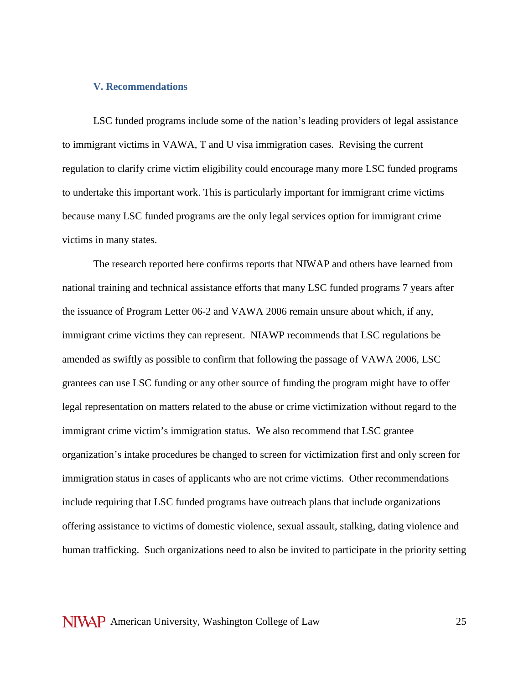#### **V. Recommendations**

LSC funded programs include some of the nation's leading providers of legal assistance to immigrant victims in VAWA, T and U visa immigration cases. Revising the current regulation to clarify crime victim eligibility could encourage many more LSC funded programs to undertake this important work. This is particularly important for immigrant crime victims because many LSC funded programs are the only legal services option for immigrant crime victims in many states.

The research reported here confirms reports that NIWAP and others have learned from national training and technical assistance efforts that many LSC funded programs 7 years after the issuance of Program Letter 06-2 and VAWA 2006 remain unsure about which, if any, immigrant crime victims they can represent. NIAWP recommends that LSC regulations be amended as swiftly as possible to confirm that following the passage of VAWA 2006, LSC grantees can use LSC funding or any other source of funding the program might have to offer legal representation on matters related to the abuse or crime victimization without regard to the immigrant crime victim's immigration status. We also recommend that LSC grantee organization's intake procedures be changed to screen for victimization first and only screen for immigration status in cases of applicants who are not crime victims. Other recommendations include requiring that LSC funded programs have outreach plans that include organizations offering assistance to victims of domestic violence, sexual assault, stalking, dating violence and human trafficking. Such organizations need to also be invited to participate in the priority setting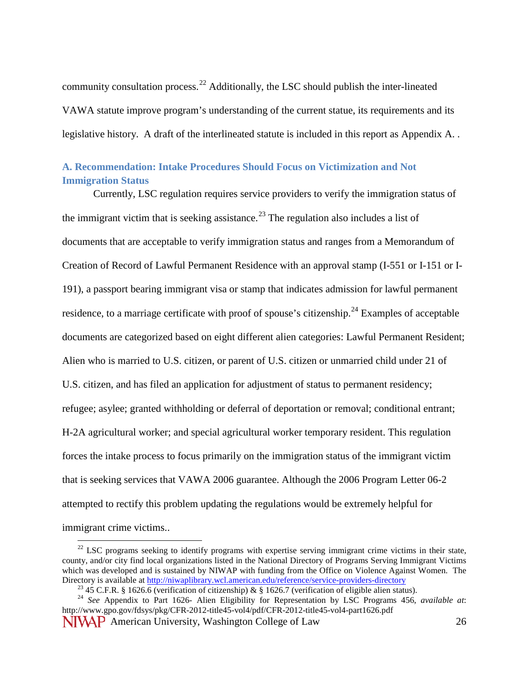community consultation process.[22](#page-25-0) Additionally, the LSC should publish the inter-lineated VAWA statute improve program's understanding of the current statue, its requirements and its legislative history. A draft of the interlineated statute is included in this report as Appendix A. .

## **A. Recommendation: Intake Procedures Should Focus on Victimization and Not Immigration Status**

Currently, LSC regulation requires service providers to verify the immigration status of the immigrant victim that is seeking assistance.<sup>[23](#page-25-1)</sup> The regulation also includes a list of documents that are acceptable to verify immigration status and ranges from a Memorandum of Creation of Record of Lawful Permanent Residence with an approval stamp (I-551 or I-151 or I-191), a passport bearing immigrant visa or stamp that indicates admission for lawful permanent residence, to a marriage certificate with proof of spouse's citizenship.<sup>[24](#page-25-2)</sup> Examples of acceptable documents are categorized based on eight different alien categories: Lawful Permanent Resident; Alien who is married to U.S. citizen, or parent of U.S. citizen or unmarried child under 21 of U.S. citizen, and has filed an application for adjustment of status to permanent residency; refugee; asylee; granted withholding or deferral of deportation or removal; conditional entrant; H-2A agricultural worker; and special agricultural worker temporary resident. This regulation forces the intake process to focus primarily on the immigration status of the immigrant victim that is seeking services that VAWA 2006 guarantee. Although the 2006 Program Letter 06-2 attempted to rectify this problem updating the regulations would be extremely helpful for immigrant crime victims..

<span id="page-25-0"></span> $22$  LSC programs seeking to identify programs with expertise serving immigrant crime victims in their state, county, and/or city find local organizations listed in the National Directory of Programs Serving Immigrant Victims which was developed and is sustained by NIWAP with funding from the Office on Violence Against Women. The Directory is available at http://niwaplibrary.wcl.american.edu/reference/service-providers-directory

<span id="page-25-2"></span><span id="page-25-1"></span>**NIVAP** American University, Washington College of Law 26 <sup>23</sup> 45 C.F.R. § 1626.6 (verification of citizenship) & § 1626.7 (verification of eligible alien status).<br><sup>24</sup> See Appendix to Part 1626- Alien Eligibility for Representation by LSC Programs 456, *available at*: http://www.gpo.gov/fdsys/pkg/CFR-2012-title45-vol4/pdf/CFR-2012-title45-vol4-part1626.pdf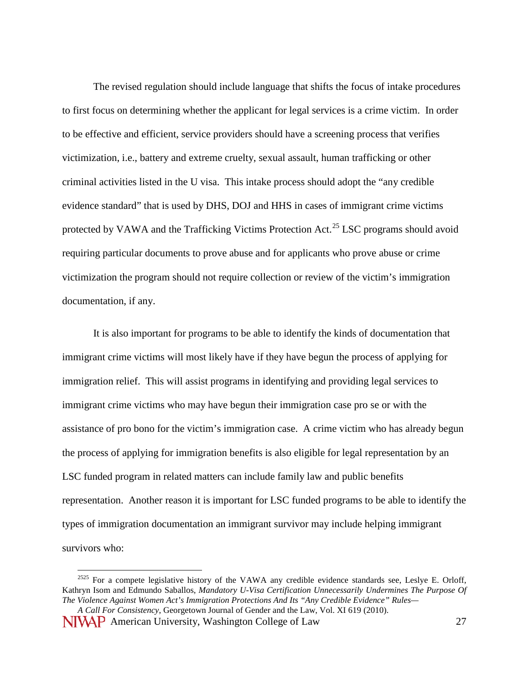The revised regulation should include language that shifts the focus of intake procedures to first focus on determining whether the applicant for legal services is a crime victim. In order to be effective and efficient, service providers should have a screening process that verifies victimization, i.e., battery and extreme cruelty, sexual assault, human trafficking or other criminal activities listed in the U visa. This intake process should adopt the "any credible evidence standard" that is used by DHS, DOJ and HHS in cases of immigrant crime victims protected by VAWA and the Trafficking Victims Protection Act.<sup>[25](#page-26-0)</sup> LSC programs should avoid requiring particular documents to prove abuse and for applicants who prove abuse or crime victimization the program should not require collection or review of the victim's immigration documentation, if any.

It is also important for programs to be able to identify the kinds of documentation that immigrant crime victims will most likely have if they have begun the process of applying for immigration relief. This will assist programs in identifying and providing legal services to immigrant crime victims who may have begun their immigration case pro se or with the assistance of pro bono for the victim's immigration case. A crime victim who has already begun the process of applying for immigration benefits is also eligible for legal representation by an LSC funded program in related matters can include family law and public benefits representation. Another reason it is important for LSC funded programs to be able to identify the types of immigration documentation an immigrant survivor may include helping immigrant survivors who:

<span id="page-26-0"></span><sup>&</sup>lt;sup>2525</sup> For a compete legislative history of the VAWA any credible evidence standards see, Leslye E. Orloff, Kathryn Isom and Edmundo Saballos, *Mandatory U-Visa Certification Unnecessarily Undermines The Purpose Of The Violence Against Women Act's Immigration Protections And Its "Any Credible Evidence" Rules—*

NIVAP American University, Washington College of Law 27 *A Call For Consistency*, Georgetown Journal of Gender and the Law, Vol. XI 619 (2010).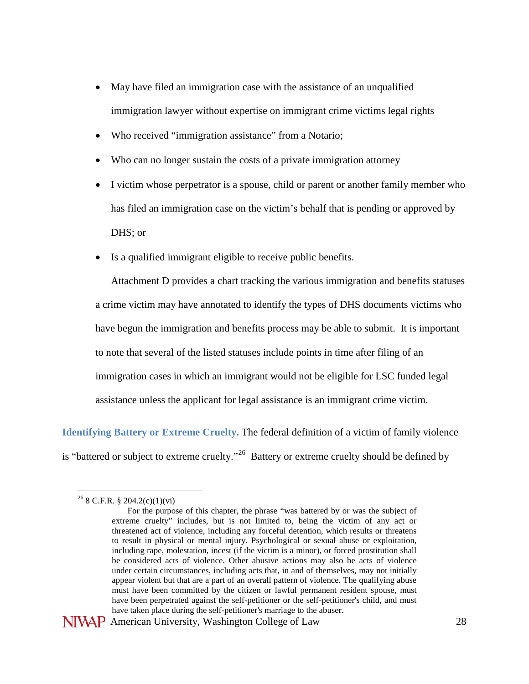- May have filed an immigration case with the assistance of an unqualified immigration lawyer without expertise on immigrant crime victims legal rights
- Who received "immigration assistance" from a Notario;
- Who can no longer sustain the costs of a private immigration attorney
- I victim whose perpetrator is a spouse, child or parent or another family member who has filed an immigration case on the victim's behalf that is pending or approved by DHS; or
- Is a qualified immigrant eligible to receive public benefits.

Attachment D provides a chart tracking the various immigration and benefits statuses a crime victim may have annotated to identify the types of DHS documents victims who have begun the immigration and benefits process may be able to submit. It is important to note that several of the listed statuses include points in time after filing of an immigration cases in which an immigrant would not be eligible for LSC funded legal assistance unless the applicant for legal assistance is an immigrant crime victim.

**Identifying Battery or Extreme Cruelty.** The federal definition of a victim of family violence is "battered or subject to extreme cruelty."<sup>[26](#page-27-0)</sup> Battery or extreme cruelty should be defined by

<span id="page-27-0"></span> <sup>26</sup> 8 C.F.R. § 204.2(c)(1)(vi)

For the purpose of this chapter, the phrase "was battered by or was the subject of extreme cruelty" includes, but is not limited to, being the victim of any act or threatened act of violence, including any forceful detention, which results or threatens to result in physical or mental injury. Psychological or sexual abuse or exploitation, including rape, molestation, incest (if the victim is a minor), or forced prostitution shall be considered acts of violence. Other abusive actions may also be acts of violence under certain circumstances, including acts that, in and of themselves, may not initially appear violent but that are a part of an overall pattern of violence. The qualifying abuse must have been committed by the citizen or lawful permanent resident spouse, must have been perpetrated against the self-petitioner or the self-petitioner's child, and must have taken place during the self-petitioner's marriage to the abuser.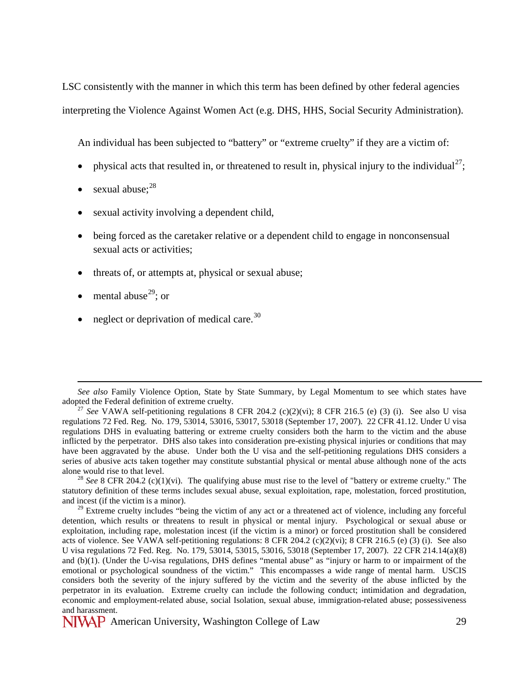LSC consistently with the manner in which this term has been defined by other federal agencies interpreting the Violence Against Women Act (e.g. DHS, HHS, Social Security Administration).

An individual has been subjected to "battery" or "extreme cruelty" if they are a victim of:

- physical acts that resulted in, or threatened to result in, physical injury to the individual<sup>[27](#page-28-0)</sup>;
- sexual abuse: $28$
- sexual activity involving a dependent child,
- being forced as the caretaker relative or a dependent child to engage in nonconsensual sexual acts or activities:
- threats of, or attempts at, physical or sexual abuse;
- mental abuse<sup>29</sup>; or

 $\overline{a}$ 

• neglect or deprivation of medical care.  $30$ 

<span id="page-28-1"></span><sup>28</sup> *See* 8 CFR 204.2 (c)(1)(vi). The qualifying abuse must rise to the level of "battery or extreme cruelty." The statutory definition of these terms includes sexual abuse, sexual exploitation, rape, molestation, forced prostitution, and incest (if the victim is a minor).

<span id="page-28-3"></span>See also Family Violence Option, State by State Summary, by Legal Momentum to see which states have adopted the Federal definition of extreme cruelty.

<span id="page-28-0"></span><sup>&</sup>lt;sup>27</sup> See VAWA self-petitioning regulations 8 CFR 204.2 (c)(2)(vi); 8 CFR 216.5 (e) (3) (i). See also U visa regulations 72 Fed. Reg. No. 179, 53014, 53016, 53017, 53018 (September 17, 2007). 22 CFR 41.12. Under U visa regulations DHS in evaluating battering or extreme cruelty considers both the harm to the victim and the abuse inflicted by the perpetrator. DHS also takes into consideration pre-existing physical injuries or conditions that may have been aggravated by the abuse. Under both the U visa and the self-petitioning regulations DHS considers a series of abusive acts taken together may constitute substantial physical or mental abuse although none of the acts

<span id="page-28-2"></span><sup>&</sup>lt;sup>29</sup> Extreme cruelty includes "being the victim of any act or a threatened act of violence, including any forceful detention, which results or threatens to result in physical or mental injury. Psychological or sexual abuse or exploitation, including rape, molestation incest (if the victim is a minor) or forced prostitution shall be considered acts of violence. See VAWA self-petitioning regulations: 8 CFR 204.2 (c)(2)(vi); 8 CFR 216.5 (e) (3) (i). See also U visa regulations 72 Fed. Reg. No. 179, 53014, 53015, 53016, 53018 (September 17, 2007). 22 CFR 214.14(a)(8) and (b)(1). (Under the U-visa regulations, DHS defines "mental abuse" as "injury or harm to or impairment of the emotional or psychological soundness of the victim." This encompasses a wide range of mental harm. USCIS considers both the severity of the injury suffered by the victim and the severity of the abuse inflicted by the perpetrator in its evaluation. Extreme cruelty can include the following conduct; intimidation and degradation, economic and employment-related abuse, social Isolation, sexual abuse, immigration-related abuse; possessiveness and harassment.

NIVAP American University, Washington College of Law 29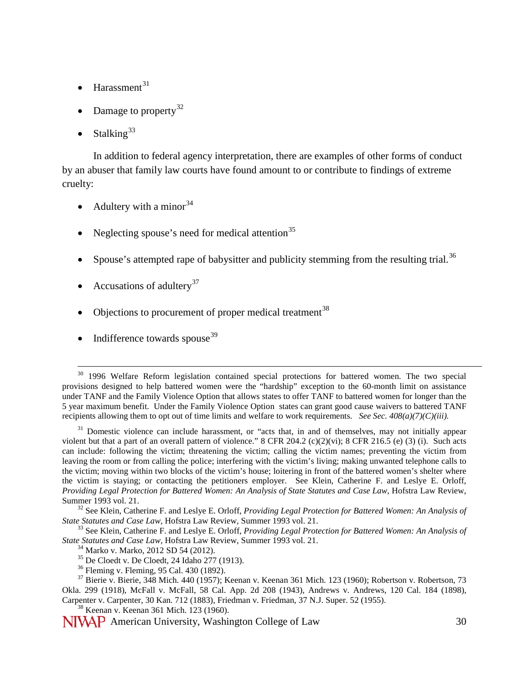- $Harasment<sup>31</sup>$  $Harasment<sup>31</sup>$  $Harasment<sup>31</sup>$
- Damage to property<sup>[32](#page-29-1)</sup>
- Stalking<sup>[33](#page-29-2)</sup>

In addition to federal agency interpretation, there are examples of other forms of conduct by an abuser that family law courts have found amount to or contribute to findings of extreme cruelty:

- Adultery with a minor  $34$
- Neglecting spouse's need for medical attention<sup>[35](#page-29-4)</sup>
- Spouse's attempted rape of babysitter and publicity stemming from the resulting trial.<sup>[36](#page-29-5)</sup>
- Accusations of adultery<sup>[37](#page-29-6)</sup>
- Objections to procurement of proper medical treatment<sup>[38](#page-29-7)</sup>
- Indifference towards spouse  $39$

<sup>&</sup>lt;sup>30</sup> 1996 Welfare Reform legislation contained special protections for battered women. The two special provisions designed to help battered women were the "hardship" exception to the 60-month limit on assistance under TANF and the Family Violence Option that allows states to offer TANF to battered women for longer than the 5 year maximum benefit. Under the Family Violence Option states can grant good cause waivers to battered TANF recipients allowing them to opt out of time limits and welfare to work requirements. *See Sec. 408(a)(7)(C)(iii).*

<span id="page-29-0"></span><sup>&</sup>lt;sup>31</sup> Domestic violence can include harassment, or "acts that, in and of themselves, may not initially appear violent but that a part of an overall pattern of violence." 8 CFR 204.2 (c)(2)(vi); 8 CFR 216.5 (e) (3) (i). Such acts can include: following the victim; threatening the victim; calling the victim names; preventing the victim from leaving the room or from calling the police; interfering with the victim's living; making unwanted telephone calls to the victim; moving within two blocks of the victim's house; loitering in front of the battered women's shelter where the victim is staying; or contacting the petitioners employer. See Klein, Catherine F. and Leslye E. Orloff, *Providing Legal Protection for Battered Women: An Analysis of State Statutes and Case Law, Hofstra Law Review,* 

<span id="page-29-8"></span><span id="page-29-1"></span>Summer 1993 vol. 21.<br><sup>32</sup> See Klein, Catherine F. and Leslye E. Orloff, *Providing Legal Protection for Battered Women: An Analysis of*<br>*State Statutes and Case Law*, Hofstra Law Review, Summer 1993 vol. 21.

<span id="page-29-2"></span><sup>&</sup>lt;sup>33</sup> See Klein, Catherine F. and Leslye E. Orloff, *Providing Legal Protection for Battered Women: An Analysis of State Statutes and Case Law, Hofstra Law Review, Summer 1993 vol. 21.* 

<span id="page-29-6"></span><span id="page-29-5"></span><span id="page-29-4"></span><span id="page-29-3"></span><sup>&</sup>lt;sup>34</sup> Marko v. Marko, 2012 SD 54 (2012).<br>
<sup>35</sup> De Cloedt v. De Cloedt, 24 Idaho 277 (1913).<br>
<sup>36</sup> Fleming v. Fleming, 95 Cal. 430 (1892).<br>
<sup>37</sup> Bierie v. Bierie, 348 Mich. 440 (1957); Keenan v. Keenan 361 Mich. 123 (1960); Okla. 299 (1918), McFall v. McFall, 58 Cal. App. 2d 208 (1943), Andrews v. Andrews, 120 Cal. 184 (1898), Carpenter v. Carpenter, 30 Kan. 712 (1883), Friedman v. Friedman, 37 N.J. Super. 52 (1955). <sup>38</sup> Keenan v. Keenan 361 Mich. 123 (1960).

<span id="page-29-7"></span>NIVAP American University, Washington College of Law 30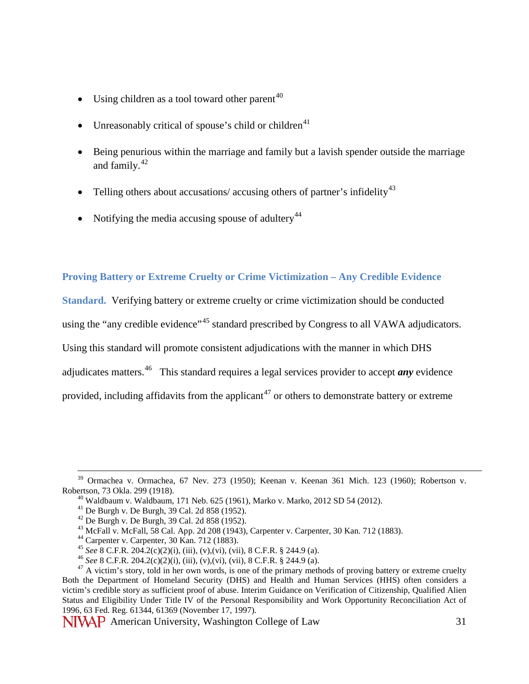- Using children as a tool toward other parent<sup>[40](#page-30-0)</sup>
- Unreasonably critical of spouse's child or children<sup>[41](#page-30-1)</sup>
- Being penurious within the marriage and family but a lavish spender outside the marriage and family. $42$
- Telling others about accusations/ accusing others of partner's infidelity<sup>[43](#page-30-3)</sup>
- Notifying the media accusing spouse of adultery<sup>[44](#page-30-4)</sup>

## **Proving Battery or Extreme Cruelty or Crime Victimization – Any Credible Evidence**

**Standard.** Verifying battery or extreme cruelty or crime victimization should be conducted using the "any credible evidence"<sup>[45](#page-30-5)</sup> standard prescribed by Congress to all VAWA adjudicators. Using this standard will promote consistent adjudications with the manner in which DHS adjudicates matters.[46](#page-30-6) This standard requires a legal services provider to accept *any* evidence provided, including affidavits from the applicant<sup>[47](#page-30-7)</sup> or others to demonstrate battery or extreme

<span id="page-30-2"></span><span id="page-30-1"></span><span id="page-30-0"></span> $39$  Ormachea v. Ormachea, 67 Nev. 273 (1950); Keenan v. Keenan 361 Mich. 123 (1960); Robertson v. Robertson, 73 Okla. 299 (1918).<br>
<sup>40</sup> Waldbaum v. Waldbaum, 171 Neb. 625 (1961), Marko v. Marko, 2012 SD 54 (2012).<br>
<sup>41</sup> De Burgh v. De Burgh, 39 Cal. 2d 858 (1952).<br>
<sup>42</sup> De Burgh v. De Burgh, 39 Cal. 2d 858 (1952).<br>
<sup>43</sup>

<span id="page-30-7"></span><span id="page-30-6"></span><span id="page-30-5"></span><span id="page-30-4"></span><span id="page-30-3"></span>Both the Department of Homeland Security (DHS) and Health and Human Services (HHS) often considers a victim's credible story as sufficient proof of abuse. Interim Guidance on Verification of Citizenship, Qualified Alien Status and Eligibility Under Title IV of the Personal Responsibility and Work Opportunity Reconciliation Act of 1996, 63 Fed. Reg. 61344, 61369 (November 17, 1997).

**NIVAP** American University, Washington College of Law 31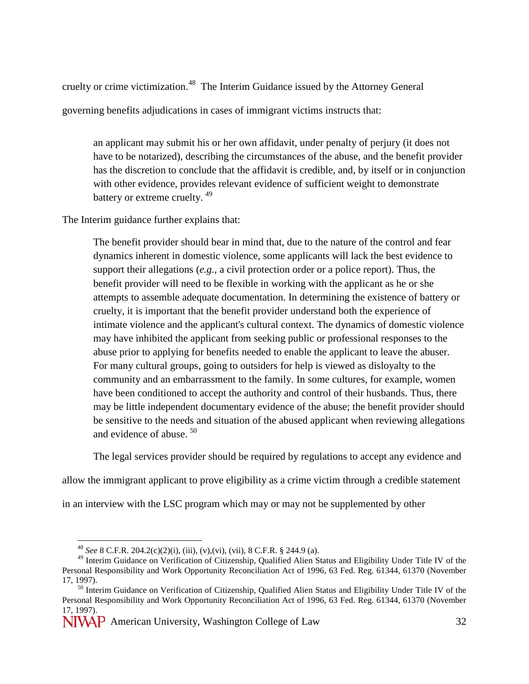cruelty or crime victimization.<sup>48</sup> The Interim Guidance issued by the Attorney General governing benefits adjudications in cases of immigrant victims instructs that:

an applicant may submit his or her own affidavit, under penalty of perjury (it does not have to be notarized), describing the circumstances of the abuse, and the benefit provider has the discretion to conclude that the affidavit is credible, and, by itself or in conjunction with other evidence, provides relevant evidence of sufficient weight to demonstrate battery or extreme cruelty. <sup>[49](#page-31-1)</sup>

The Interim guidance further explains that:

The benefit provider should bear in mind that, due to the nature of the control and fear dynamics inherent in domestic violence, some applicants will lack the best evidence to support their allegations (*e.g.*, a civil protection order or a police report). Thus, the benefit provider will need to be flexible in working with the applicant as he or she attempts to assemble adequate documentation. In determining the existence of battery or cruelty, it is important that the benefit provider understand both the experience of intimate violence and the applicant's cultural context. The dynamics of domestic violence may have inhibited the applicant from seeking public or professional responses to the abuse prior to applying for benefits needed to enable the applicant to leave the abuser. For many cultural groups, going to outsiders for help is viewed as disloyalty to the community and an embarrassment to the family. In some cultures, for example, women have been conditioned to accept the authority and control of their husbands. Thus, there may be little independent documentary evidence of the abuse; the benefit provider should be sensitive to the needs and situation of the abused applicant when reviewing allegations and evidence of abuse.<sup>[50](#page-31-2)</sup>

The legal services provider should be required by regulations to accept any evidence and

allow the immigrant applicant to prove eligibility as a crime victim through a credible statement

in an interview with the LSC program which may or may not be supplemented by other

 <sup>48</sup> *See* 8 C.F.R. 204.2(c)(2)(i), (iii), (v),(vi), (vii), 8 C.F.R. § 244.9 (a).

<span id="page-31-1"></span><span id="page-31-0"></span><sup>&</sup>lt;sup>49</sup> Interim Guidance on Verification of Citizenship, Qualified Alien Status and Eligibility Under Title IV of the Personal Responsibility and Work Opportunity Reconciliation Act of 1996, 63 Fed. Reg. 61344, 61370 (November

<span id="page-31-2"></span> $50$  Interim Guidance on Verification of Citizenship, Qualified Alien Status and Eligibility Under Title IV of the Personal Responsibility and Work Opportunity Reconciliation Act of 1996, 63 Fed. Reg. 61344, 61370 (November 17, 1997).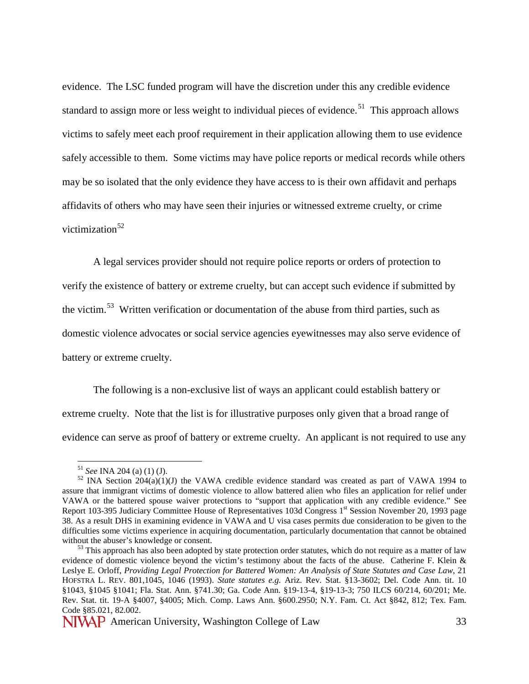evidence. The LSC funded program will have the discretion under this any credible evidence standard to assign more or less weight to individual pieces of evidence.<sup>[51](#page-32-0)</sup> This approach allows victims to safely meet each proof requirement in their application allowing them to use evidence safely accessible to them. Some victims may have police reports or medical records while others may be so isolated that the only evidence they have access to is their own affidavit and perhaps affidavits of others who may have seen their injuries or witnessed extreme cruelty, or crime victimization<sup>[52](#page-32-1)</sup>

A legal services provider should not require police reports or orders of protection to verify the existence of battery or extreme cruelty, but can accept such evidence if submitted by the victim.<sup>[53](#page-32-2)</sup> Written verification or documentation of the abuse from third parties, such as domestic violence advocates or social service agencies eyewitnesses may also serve evidence of battery or extreme cruelty.

The following is a non-exclusive list of ways an applicant could establish battery or extreme cruelty. Note that the list is for illustrative purposes only given that a broad range of evidence can serve as proof of battery or extreme cruelty. An applicant is not required to use any

<span id="page-32-1"></span><span id="page-32-0"></span><sup>&</sup>lt;sup>51</sup> *See* INA 204 (a) (1) (J).<br><sup>52</sup> INA Section 204(a)(1)(J) the VAWA credible evidence standard was created as part of VAWA 1994 to assure that immigrant victims of domestic violence to allow battered alien who files an application for relief under VAWA or the battered spouse waiver protections to "support that application with any credible evidence." See Report 103-395 Judiciary Committee House of Representatives 103d Congress 1<sup>st</sup> Session November 20, 1993 page 38. As a result DHS in examining evidence in VAWA and U visa cases permits due consideration to be given to the difficulties some victims experience in acquiring documentation, particularly documentation that cannot be obtained without the abuser's knowledge or consent.<br><sup>53</sup> This approach has also been adopted by state protection order statutes, which do not require as a matter of law

<span id="page-32-2"></span>evidence of domestic violence beyond the victim's testimony about the facts of the abuse. Catherine F. Klein & Leslye E. Orloff, *Providing Legal Protection for Battered Women: An Analysis of State Statutes and Case Law*, 21 HOFSTRA L. REV. 801,1045, 1046 (1993). *State statutes e.g.* Ariz. Rev. Stat. §13-3602; Del. Code Ann. tit. 10 §1043, §1045 §1041; Fla. Stat. Ann. §741.30; Ga. Code Ann. §19-13-4, §19-13-3; 750 ILCS 60/214, 60/201; Me. Rev. Stat. tit. 19-A §4007, §4005; Mich. Comp. Laws Ann. §600.2950; N.Y. Fam. Ct. Act §842, 812; Tex. Fam. Code §85.021, 82.002.

NIVAP American University, Washington College of Law 33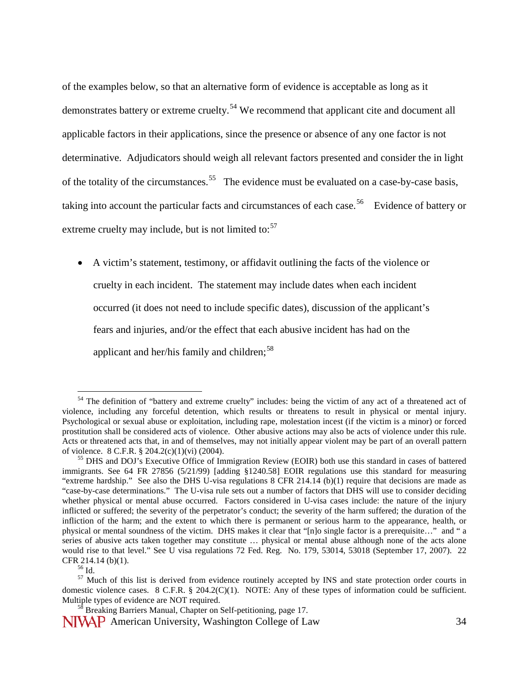of the examples below, so that an alternative form of evidence is acceptable as long as it demonstrates battery or extreme cruelty.<sup>[54](#page-33-0)</sup> We recommend that applicant cite and document all applicable factors in their applications, since the presence or absence of any one factor is not determinative. Adjudicators should weigh all relevant factors presented and consider the in light of the totality of the circumstances.<sup>55</sup> The evidence must be evaluated on a case-by-case basis, taking into account the particular facts and circumstances of each case.<sup>56</sup> Evidence of battery or extreme cruelty may include, but is not limited to: $57$ 

• A victim's statement, testimony, or affidavit outlining the facts of the violence or cruelty in each incident. The statement may include dates when each incident occurred (it does not need to include specific dates), discussion of the applicant's fears and injuries, and/or the effect that each abusive incident has had on the applicant and her/his family and children;<sup>[58](#page-33-4)</sup>

<span id="page-33-0"></span><sup>&</sup>lt;sup>54</sup> The definition of "battery and extreme cruelty" includes: being the victim of any act of a threatened act of violence, including any forceful detention, which results or threatens to result in physical or mental injury. Psychological or sexual abuse or exploitation, including rape, molestation incest (if the victim is a minor) or forced prostitution shall be considered acts of violence. Other abusive actions may also be acts of violence under this rule. Acts or threatened acts that, in and of themselves, may not initially appear violent may be part of an overall pattern of violence. 8 C.F.R. § 204.2(c)(1)(vi) (2004). <sup>55</sup> DHS and DOJ's Executive Office of Immigration Review (EOIR) both use this standard in cases of battered

<span id="page-33-1"></span>immigrants. See 64 FR 27856 (5/21/99) [adding §1240.58] EOIR regulations use this standard for measuring "extreme hardship." See also the DHS U-visa regulations 8 CFR 214.14 (b)(1) require that decisions are made as "case-by-case determinations." The U-visa rule sets out a number of factors that DHS will use to consider deciding whether physical or mental abuse occurred. Factors considered in U-visa cases include: the nature of the injury inflicted or suffered; the severity of the perpetrator's conduct; the severity of the harm suffered; the duration of the infliction of the harm; and the extent to which there is permanent or serious harm to the appearance, health, or physical or mental soundness of the victim. DHS makes it clear that "[n]o single factor is a prerequisite…" and " a series of abusive acts taken together may constitute ... physical or mental abuse although none of the acts alone would rise to that level." See U visa regulations 72 Fed. Reg. No. 179, 53014, 53018 (September 17, 2007). 22 CFR 214.14 (b)(1).

<span id="page-33-3"></span><span id="page-33-2"></span> $\frac{56}{56}$  Id.  $\frac{57}{10}$ . Thus is derived from evidence routinely accepted by INS and state protection order courts in domestic violence cases. 8 C.F.R. § 204.2(C)(1). NOTE: Any of these types of information could be sufficient.<br>Multiple types of evidence are NOT required.

 $^{58}$  Breaking Barriers Manual, Chapter on Self-petitioning, page 17.

<span id="page-33-4"></span>NIVAP American University, Washington College of Law 34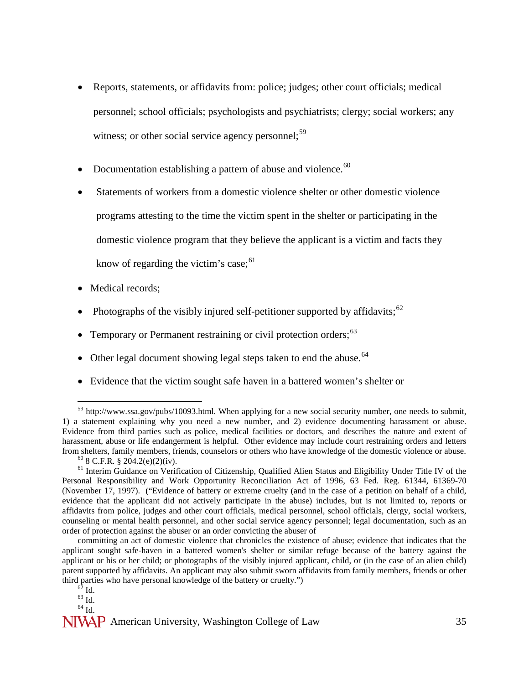- Reports, statements, or affidavits from: police; judges; other court officials; medical personnel; school officials; psychologists and psychiatrists; clergy; social workers; any witness; or other social service agency personnel:  $59$
- Documentation establishing a pattern of abuse and violence. $60$
- Statements of workers from a domestic violence shelter or other domestic violence programs attesting to the time the victim spent in the shelter or participating in the domestic violence program that they believe the applicant is a victim and facts they know of regarding the victim's case;  $61$
- Medical records;
- Photographs of the visibly injured self-petitioner supported by affidavits;  $62$
- Temporary or Permanent restraining or civil protection orders:<sup>[63](#page-34-4)</sup>
- Other legal document showing legal steps taken to end the abuse.  $64$
- Evidence that the victim sought safe haven in a battered women's shelter or

<span id="page-34-0"></span> $59$  http://www.ssa.gov/pubs/10093.html. When applying for a new social security number, one needs to submit, 1) a statement explaining why you need a new number, and 2) evidence documenting harassment or abuse. Evidence from third parties such as police, medical facilities or doctors, and describes the nature and extent of harassment, abuse or life endangerment is helpful. Other evidence may include court restraining orders and letters from shelters, family members, friends, counselors or others who have knowledge of the domestic violence or abuse.<br><sup>60</sup> 8 C.F.R. § 204.2(e)(2)(iv).<br><sup>61</sup> Interim Guidance on Verification of Citizenship, Qualified Alien Sta

<span id="page-34-2"></span><span id="page-34-1"></span>Personal Responsibility and Work Opportunity Reconciliation Act of 1996, 63 Fed. Reg. 61344, 61369-70 (November 17, 1997). ("Evidence of battery or extreme cruelty (and in the case of a petition on behalf of a child, evidence that the applicant did not actively participate in the abuse) includes, but is not limited to, reports or affidavits from police, judges and other court officials, medical personnel, school officials, clergy, social workers, counseling or mental health personnel, and other social service agency personnel; legal documentation, such as an order of protection against the abuser or an order convicting the abuser of

committing an act of domestic violence that chronicles the existence of abuse; evidence that indicates that the applicant sought safe-haven in a battered women's shelter or similar refuge because of the battery against the applicant or his or her child; or photographs of the visibly injured applicant, child, or (in the case of an alien child) parent supported by affidavits. An applicant may also submit sworn affidavits from family members, friends or other third parties who have personal knowledge of the battery or cruelty.") <sup>62</sup> Id. <sup>63</sup> Id. <sup>64</sup> Id

<span id="page-34-5"></span><span id="page-34-4"></span><span id="page-34-3"></span>**NIVAP** American University, Washington College of Law 35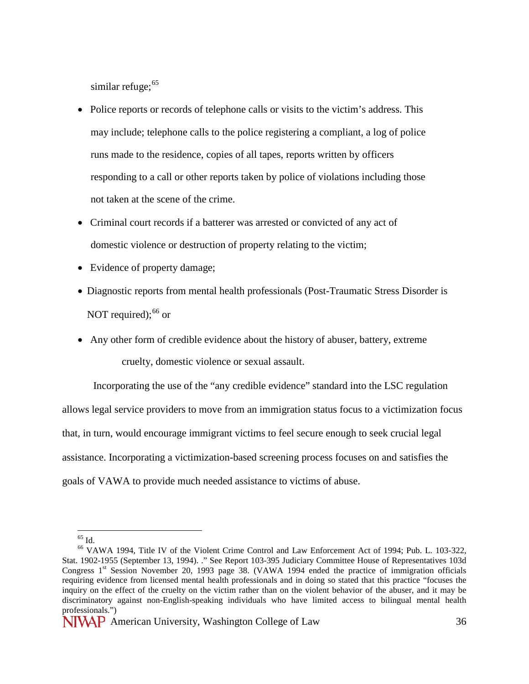similar refuge:  $65$ 

- Police reports or records of telephone calls or visits to the victim's address. This may include; telephone calls to the police registering a compliant, a log of police runs made to the residence, copies of all tapes, reports written by officers responding to a call or other reports taken by police of violations including those not taken at the scene of the crime.
- Criminal court records if a batterer was arrested or convicted of any act of domestic violence or destruction of property relating to the victim;
- Evidence of property damage;
- Diagnostic reports from mental health professionals (Post-Traumatic Stress Disorder is NOT required): $66$  or
- Any other form of credible evidence about the history of abuser, battery, extreme cruelty, domestic violence or sexual assault.

Incorporating the use of the "any credible evidence" standard into the LSC regulation allows legal service providers to move from an immigration status focus to a victimization focus that, in turn, would encourage immigrant victims to feel secure enough to seek crucial legal assistance. Incorporating a victimization-based screening process focuses on and satisfies the goals of VAWA to provide much needed assistance to victims of abuse.

<span id="page-35-1"></span><span id="page-35-0"></span> $^{65}$  Id.<br> $^{66}$  VAWA 1994, Title IV of the Violent Crime Control and Law Enforcement Act of 1994; Pub. L. 103-322, Stat. 1902-1955 (September 13, 1994). ." See Report 103-395 Judiciary Committee House of Representatives 103d Congress 1<sup>st</sup> Session November 20, 1993 page 38. (VAWA 1994 ended the practice of immigration officials requiring evidence from licensed mental health professionals and in doing so stated that this practice "focuses the inquiry on the effect of the cruelty on the victim rather than on the violent behavior of the abuser, and it may be discriminatory against non-English-speaking individuals who have limited access to bilingual mental health professionals.")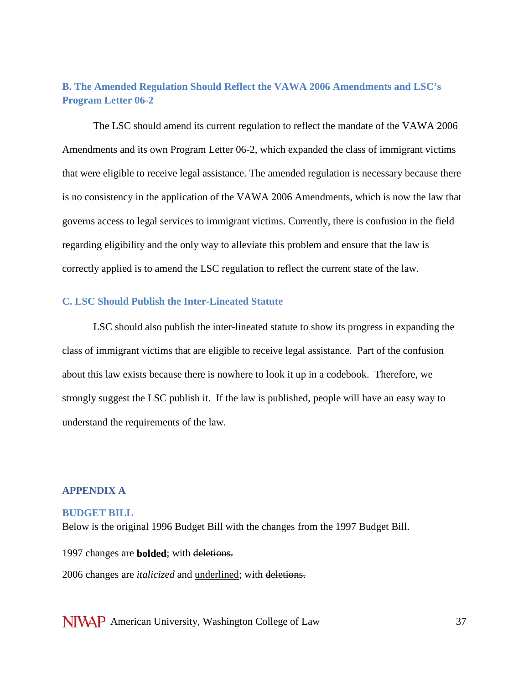## **B. The Amended Regulation Should Reflect the VAWA 2006 Amendments and LSC's Program Letter 06-2**

The LSC should amend its current regulation to reflect the mandate of the VAWA 2006 Amendments and its own Program Letter 06-2, which expanded the class of immigrant victims that were eligible to receive legal assistance. The amended regulation is necessary because there is no consistency in the application of the VAWA 2006 Amendments, which is now the law that governs access to legal services to immigrant victims. Currently, there is confusion in the field regarding eligibility and the only way to alleviate this problem and ensure that the law is correctly applied is to amend the LSC regulation to reflect the current state of the law.

#### **C. LSC Should Publish the Inter-Lineated Statute**

LSC should also publish the inter-lineated statute to show its progress in expanding the class of immigrant victims that are eligible to receive legal assistance. Part of the confusion about this law exists because there is nowhere to look it up in a codebook. Therefore, we strongly suggest the LSC publish it. If the law is published, people will have an easy way to understand the requirements of the law.

#### **APPENDIX A**

#### **BUDGET BILL**

Below is the original 1996 Budget Bill with the changes from the 1997 Budget Bill.

1997 changes are **bolded**; with deletions. 2006 changes are *italicized* and underlined; with deletions.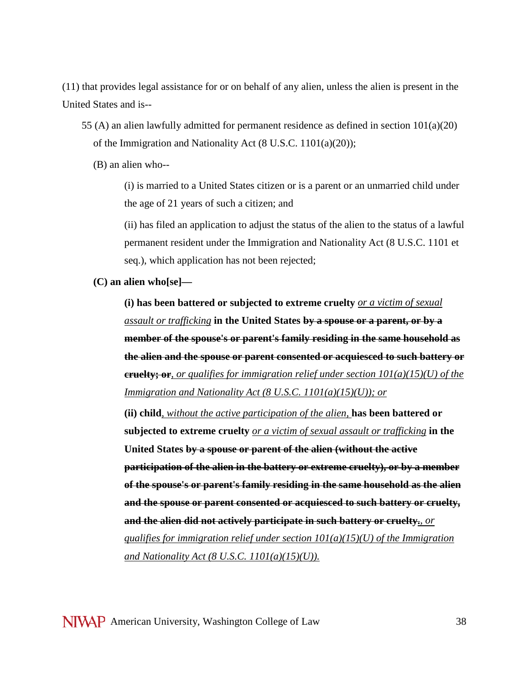(11) that provides legal assistance for or on behalf of any alien, unless the alien is present in the United States and is--

- 55 (A) an alien lawfully admitted for permanent residence as defined in section 101(a)(20) of the Immigration and Nationality Act [\(8 U.S.C. 1101\(](javascript:void(0))a)(20));
	- (B) an alien who--

(i) is married to a United States citizen or is a parent or an unmarried child under the age of 21 years of such a citizen; and

(ii) has filed an application to adjust the status of the alien to the status of a lawful permanent resident under the Immigration and Nationality Act [\(8 U.S.C. 1101](javascript:void(0)) et seq.), which application has not been rejected;

**(C) an alien who[se]—**

**(i) has been battered or subjected to extreme cruelty** *or a victim of sexual assault or trafficking* **in the United States by a spouse or a parent, or by a member of the spouse's or parent's family residing in the same household as the alien and the spouse or parent consented or acquiesced to such battery or cruelty; or***, or qualifies for immigration relief under section 101(a)(15)(U) of the Immigration and Nationality Act (8 U.S.C. 1101(a)(15)(U)); or*

**(ii) child***, without the active participation of the alien,* **has been battered or subjected to extreme cruelty** *or a victim of sexual assault or trafficking* **in the United States by a spouse or parent of the alien (without the active participation of the alien in the battery or extreme cruelty), or by a member of the spouse's or parent's family residing in the same household as the alien and the spouse or parent consented or acquiesced to such battery or cruelty, and the alien did not actively participate in such battery or cruelty.***, or qualifies for immigration relief under section 101(a)(15)(U) of the Immigration and Nationality Act (8 U.S.C. 1101(a)(15)(U)).*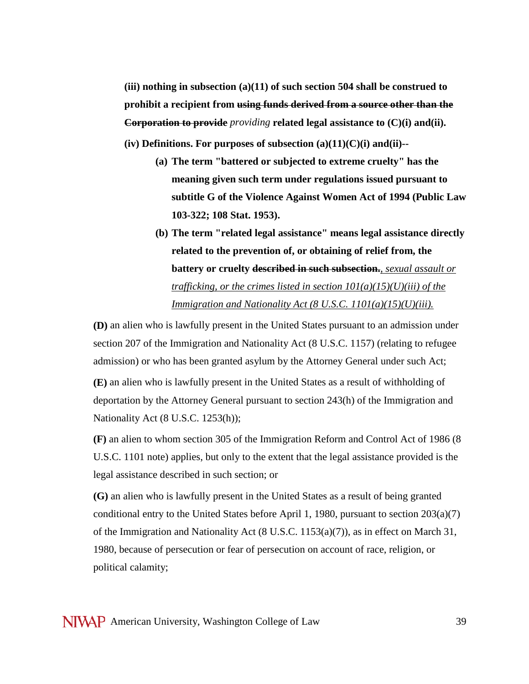**(iii) nothing in subsection (a)(11) of such section 504 shall be construed to prohibit a recipient from using funds derived from a source other than the Corporation to provide** *providing* **related legal assistance to (C)(i) and(ii).** 

**(iv) Definitions. For purposes of subsection (a)(11)(C)(i) and(ii)--**

- **(a) The term "battered or subjected to extreme cruelty" has the meaning given such term under regulations issued pursuant to subtitle G of the Violence Against Women Act of 1994 (Public Law 103-322; 108 Stat. 1953).**
- **(b) The term "related legal assistance" means legal assistance directly related to the prevention of, or obtaining of relief from, the battery or cruelty described in such subsection.***, sexual assault or trafficking, or the crimes listed in section 101(a)(15)(U)(iii) of the Immigration and Nationality Act (8 U.S.C. 1101(a)(15)(U)(iii).*

**(D)** an alien who is lawfully present in the United States pursuant to an admission under section 207 of the Immigration and Nationality Act [\(8 U.S.C. 1157\)](javascript:void(0)) (relating to refugee admission) or who has been granted asylum by the Attorney General under such Act;

**(E)** an alien who is lawfully present in the United States as a result of withholding of deportation by the Attorney General pursuant to section 243(h) of the Immigration and Nationality Act [\(8 U.S.C. 1253\(](javascript:void(0))h));

**(F)** an alien to whom section 305 of the Immigration Reform and Control Act of 1986 [\(8](javascript:void(0))  [U.S.C. 1101](javascript:void(0)) note) applies, but only to the extent that the legal assistance provided is the legal assistance described in such section; or

**(G)** an alien who is lawfully present in the United States as a result of being granted conditional entry to the United States before April 1, 1980, pursuant to section  $203(a)(7)$ of the Immigration and Nationality Act [\(8 U.S.C. 1153\(](javascript:void(0))a)(7)), as in effect on March 31, 1980, because of persecution or fear of persecution on account of race, religion, or political calamity;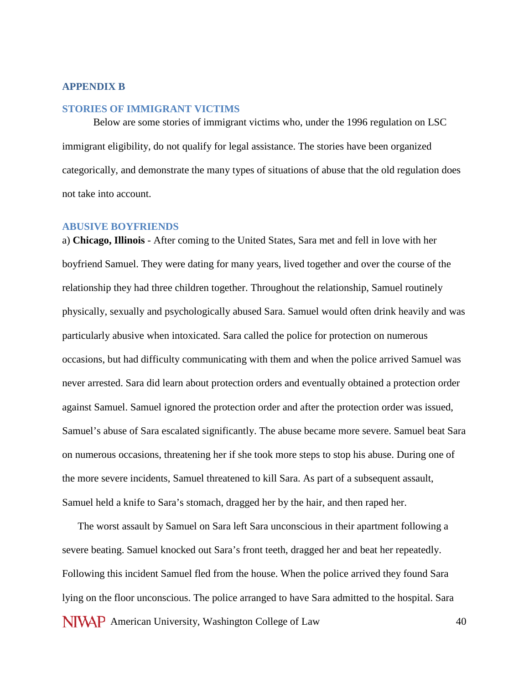#### **APPENDIX B**

### **STORIES OF IMMIGRANT VICTIMS**

Below are some stories of immigrant victims who, under the 1996 regulation on LSC immigrant eligibility, do not qualify for legal assistance. The stories have been organized categorically, and demonstrate the many types of situations of abuse that the old regulation does not take into account.

#### **ABUSIVE BOYFRIENDS**

a) **Chicago, Illinois** - After coming to the United States, Sara met and fell in love with her boyfriend Samuel. They were dating for many years, lived together and over the course of the relationship they had three children together. Throughout the relationship, Samuel routinely physically, sexually and psychologically abused Sara. Samuel would often drink heavily and was particularly abusive when intoxicated. Sara called the police for protection on numerous occasions, but had difficulty communicating with them and when the police arrived Samuel was never arrested. Sara did learn about protection orders and eventually obtained a protection order against Samuel. Samuel ignored the protection order and after the protection order was issued, Samuel's abuse of Sara escalated significantly. The abuse became more severe. Samuel beat Sara on numerous occasions, threatening her if she took more steps to stop his abuse. During one of the more severe incidents, Samuel threatened to kill Sara. As part of a subsequent assault, Samuel held a knife to Sara's stomach, dragged her by the hair, and then raped her.

**NIVAP** American University, Washington College of Law 40 The worst assault by Samuel on Sara left Sara unconscious in their apartment following a severe beating. Samuel knocked out Sara's front teeth, dragged her and beat her repeatedly. Following this incident Samuel fled from the house. When the police arrived they found Sara lying on the floor unconscious. The police arranged to have Sara admitted to the hospital. Sara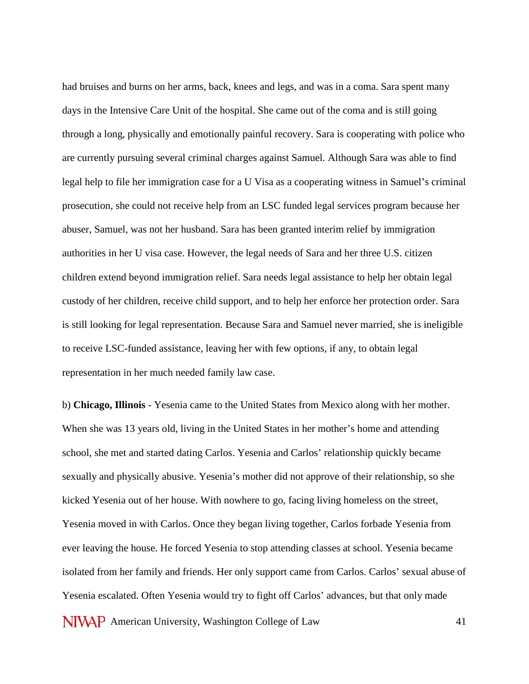had bruises and burns on her arms, back, knees and legs, and was in a coma. Sara spent many days in the Intensive Care Unit of the hospital. She came out of the coma and is still going through a long, physically and emotionally painful recovery. Sara is cooperating with police who are currently pursuing several criminal charges against Samuel. Although Sara was able to find legal help to file her immigration case for a U Visa as a cooperating witness in Samuel's criminal prosecution, she could not receive help from an LSC funded legal services program because her abuser, Samuel, was not her husband. Sara has been granted interim relief by immigration authorities in her U visa case. However, the legal needs of Sara and her three U.S. citizen children extend beyond immigration relief. Sara needs legal assistance to help her obtain legal custody of her children, receive child support, and to help her enforce her protection order. Sara is still looking for legal representation. Because Sara and Samuel never married, she is ineligible to receive LSC-funded assistance, leaving her with few options, if any, to obtain legal representation in her much needed family law case.

NIVAP American University, Washington College of Law 41 b) **Chicago, Illinois** - Yesenia came to the United States from Mexico along with her mother. When she was 13 years old, living in the United States in her mother's home and attending school, she met and started dating Carlos. Yesenia and Carlos' relationship quickly became sexually and physically abusive. Yesenia's mother did not approve of their relationship, so she kicked Yesenia out of her house. With nowhere to go, facing living homeless on the street, Yesenia moved in with Carlos. Once they began living together, Carlos forbade Yesenia from ever leaving the house. He forced Yesenia to stop attending classes at school. Yesenia became isolated from her family and friends. Her only support came from Carlos. Carlos' sexual abuse of Yesenia escalated. Often Yesenia would try to fight off Carlos' advances, but that only made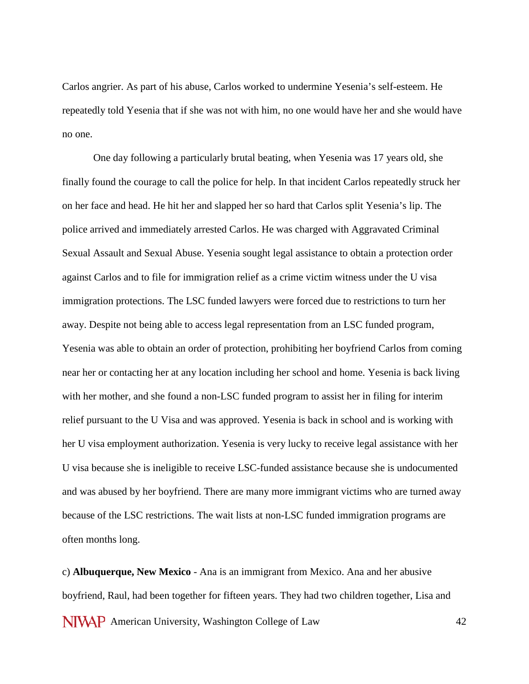Carlos angrier. As part of his abuse, Carlos worked to undermine Yesenia's self-esteem. He repeatedly told Yesenia that if she was not with him, no one would have her and she would have no one.

One day following a particularly brutal beating, when Yesenia was 17 years old, she finally found the courage to call the police for help. In that incident Carlos repeatedly struck her on her face and head. He hit her and slapped her so hard that Carlos split Yesenia's lip. The police arrived and immediately arrested Carlos. He was charged with Aggravated Criminal Sexual Assault and Sexual Abuse. Yesenia sought legal assistance to obtain a protection order against Carlos and to file for immigration relief as a crime victim witness under the U visa immigration protections. The LSC funded lawyers were forced due to restrictions to turn her away. Despite not being able to access legal representation from an LSC funded program, Yesenia was able to obtain an order of protection, prohibiting her boyfriend Carlos from coming near her or contacting her at any location including her school and home. Yesenia is back living with her mother, and she found a non-LSC funded program to assist her in filing for interim relief pursuant to the U Visa and was approved. Yesenia is back in school and is working with her U visa employment authorization. Yesenia is very lucky to receive legal assistance with her U visa because she is ineligible to receive LSC-funded assistance because she is undocumented and was abused by her boyfriend. There are many more immigrant victims who are turned away because of the LSC restrictions. The wait lists at non-LSC funded immigration programs are often months long.

NIVAP American University, Washington College of Law 42 c) **Albuquerque, New Mexico** - Ana is an immigrant from Mexico. Ana and her abusive boyfriend, Raul, had been together for fifteen years. They had two children together, Lisa and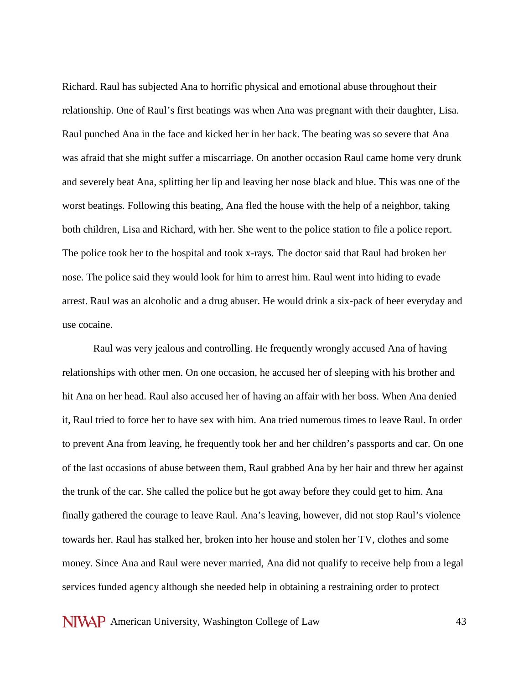Richard. Raul has subjected Ana to horrific physical and emotional abuse throughout their relationship. One of Raul's first beatings was when Ana was pregnant with their daughter, Lisa. Raul punched Ana in the face and kicked her in her back. The beating was so severe that Ana was afraid that she might suffer a miscarriage. On another occasion Raul came home very drunk and severely beat Ana, splitting her lip and leaving her nose black and blue. This was one of the worst beatings. Following this beating, Ana fled the house with the help of a neighbor, taking both children, Lisa and Richard, with her. She went to the police station to file a police report. The police took her to the hospital and took x-rays. The doctor said that Raul had broken her nose. The police said they would look for him to arrest him. Raul went into hiding to evade arrest. Raul was an alcoholic and a drug abuser. He would drink a six-pack of beer everyday and use cocaine.

Raul was very jealous and controlling. He frequently wrongly accused Ana of having relationships with other men. On one occasion, he accused her of sleeping with his brother and hit Ana on her head. Raul also accused her of having an affair with her boss. When Ana denied it, Raul tried to force her to have sex with him. Ana tried numerous times to leave Raul. In order to prevent Ana from leaving, he frequently took her and her children's passports and car. On one of the last occasions of abuse between them, Raul grabbed Ana by her hair and threw her against the trunk of the car. She called the police but he got away before they could get to him. Ana finally gathered the courage to leave Raul. Ana's leaving, however, did not stop Raul's violence towards her. Raul has stalked her, broken into her house and stolen her TV, clothes and some money. Since Ana and Raul were never married, Ana did not qualify to receive help from a legal services funded agency although she needed help in obtaining a restraining order to protect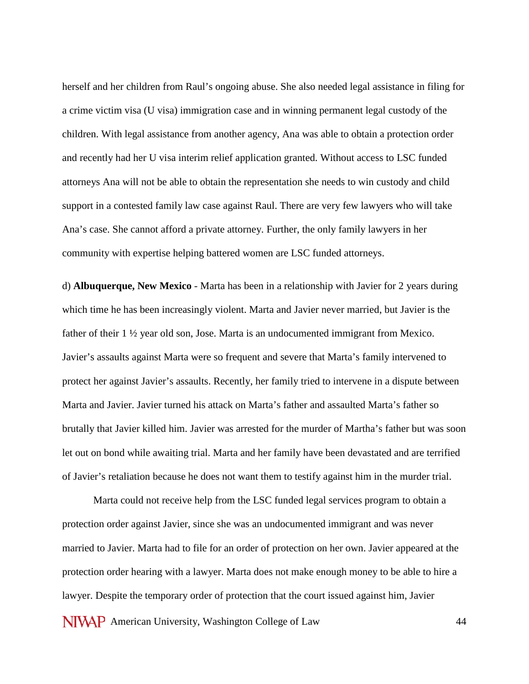herself and her children from Raul's ongoing abuse. She also needed legal assistance in filing for a crime victim visa (U visa) immigration case and in winning permanent legal custody of the children. With legal assistance from another agency, Ana was able to obtain a protection order and recently had her U visa interim relief application granted. Without access to LSC funded attorneys Ana will not be able to obtain the representation she needs to win custody and child support in a contested family law case against Raul. There are very few lawyers who will take Ana's case. She cannot afford a private attorney. Further, the only family lawyers in her community with expertise helping battered women are LSC funded attorneys.

d) **Albuquerque, New Mexico** - Marta has been in a relationship with Javier for 2 years during which time he has been increasingly violent. Marta and Javier never married, but Javier is the father of their 1 ½ year old son, Jose. Marta is an undocumented immigrant from Mexico. Javier's assaults against Marta were so frequent and severe that Marta's family intervened to protect her against Javier's assaults. Recently, her family tried to intervene in a dispute between Marta and Javier. Javier turned his attack on Marta's father and assaulted Marta's father so brutally that Javier killed him. Javier was arrested for the murder of Martha's father but was soon let out on bond while awaiting trial. Marta and her family have been devastated and are terrified of Javier's retaliation because he does not want them to testify against him in the murder trial.

NIVAP American University, Washington College of Law 44 Marta could not receive help from the LSC funded legal services program to obtain a protection order against Javier, since she was an undocumented immigrant and was never married to Javier. Marta had to file for an order of protection on her own. Javier appeared at the protection order hearing with a lawyer. Marta does not make enough money to be able to hire a lawyer. Despite the temporary order of protection that the court issued against him, Javier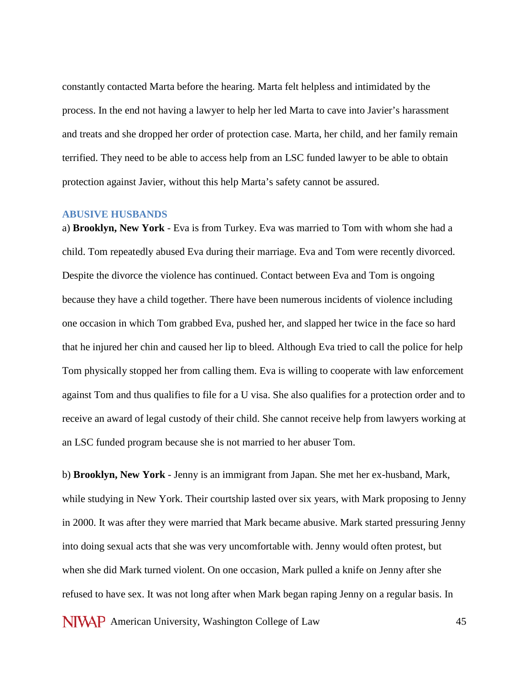constantly contacted Marta before the hearing. Marta felt helpless and intimidated by the process. In the end not having a lawyer to help her led Marta to cave into Javier's harassment and treats and she dropped her order of protection case. Marta, her child, and her family remain terrified. They need to be able to access help from an LSC funded lawyer to be able to obtain protection against Javier, without this help Marta's safety cannot be assured.

## **ABUSIVE HUSBANDS**

a) **Brooklyn, New York** - Eva is from Turkey. Eva was married to Tom with whom she had a child. Tom repeatedly abused Eva during their marriage. Eva and Tom were recently divorced. Despite the divorce the violence has continued. Contact between Eva and Tom is ongoing because they have a child together. There have been numerous incidents of violence including one occasion in which Tom grabbed Eva, pushed her, and slapped her twice in the face so hard that he injured her chin and caused her lip to bleed. Although Eva tried to call the police for help Tom physically stopped her from calling them. Eva is willing to cooperate with law enforcement against Tom and thus qualifies to file for a U visa. She also qualifies for a protection order and to receive an award of legal custody of their child. She cannot receive help from lawyers working at an LSC funded program because she is not married to her abuser Tom.

b) **Brooklyn, New York** - Jenny is an immigrant from Japan. She met her ex-husband, Mark, while studying in New York. Their courtship lasted over six years, with Mark proposing to Jenny in 2000. It was after they were married that Mark became abusive. Mark started pressuring Jenny into doing sexual acts that she was very uncomfortable with. Jenny would often protest, but when she did Mark turned violent. On one occasion, Mark pulled a knife on Jenny after she refused to have sex. It was not long after when Mark began raping Jenny on a regular basis. In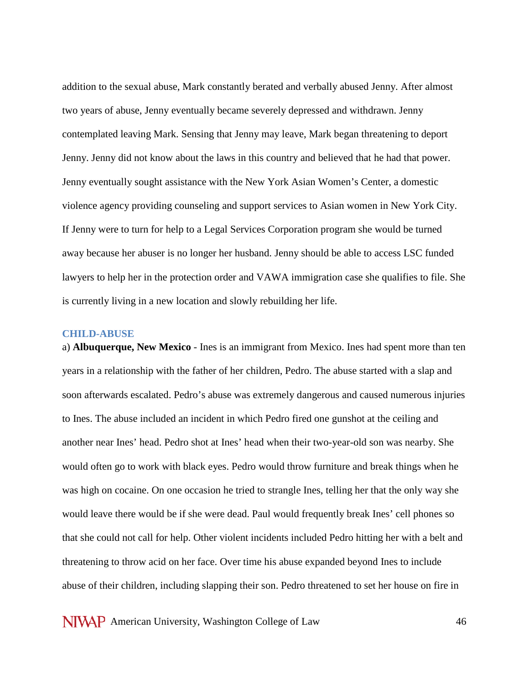addition to the sexual abuse, Mark constantly berated and verbally abused Jenny. After almost two years of abuse, Jenny eventually became severely depressed and withdrawn. Jenny contemplated leaving Mark. Sensing that Jenny may leave, Mark began threatening to deport Jenny. Jenny did not know about the laws in this country and believed that he had that power. Jenny eventually sought assistance with the New York Asian Women's Center, a domestic violence agency providing counseling and support services to Asian women in New York City. If Jenny were to turn for help to a Legal Services Corporation program she would be turned away because her abuser is no longer her husband. Jenny should be able to access LSC funded lawyers to help her in the protection order and VAWA immigration case she qualifies to file. She is currently living in a new location and slowly rebuilding her life.

### **CHILD-ABUSE**

a) **Albuquerque, New Mexico** - Ines is an immigrant from Mexico. Ines had spent more than ten years in a relationship with the father of her children, Pedro. The abuse started with a slap and soon afterwards escalated. Pedro's abuse was extremely dangerous and caused numerous injuries to Ines. The abuse included an incident in which Pedro fired one gunshot at the ceiling and another near Ines' head. Pedro shot at Ines' head when their two-year-old son was nearby. She would often go to work with black eyes. Pedro would throw furniture and break things when he was high on cocaine. On one occasion he tried to strangle Ines, telling her that the only way she would leave there would be if she were dead. Paul would frequently break Ines' cell phones so that she could not call for help. Other violent incidents included Pedro hitting her with a belt and threatening to throw acid on her face. Over time his abuse expanded beyond Ines to include abuse of their children, including slapping their son. Pedro threatened to set her house on fire in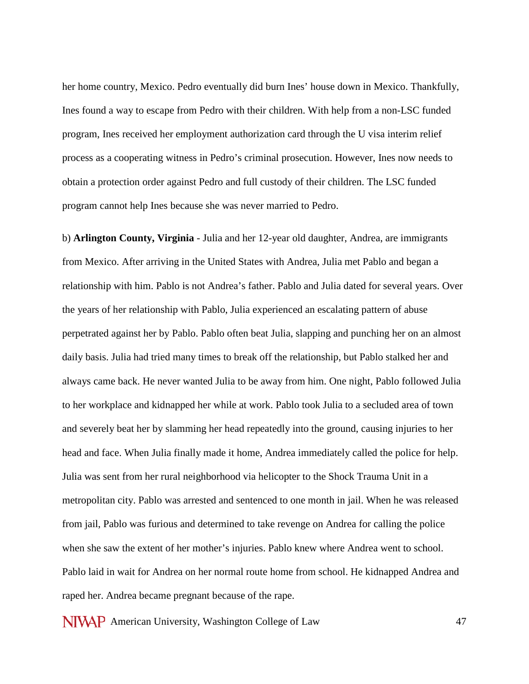her home country, Mexico. Pedro eventually did burn Ines' house down in Mexico. Thankfully, Ines found a way to escape from Pedro with their children. With help from a non-LSC funded program, Ines received her employment authorization card through the U visa interim relief process as a cooperating witness in Pedro's criminal prosecution. However, Ines now needs to obtain a protection order against Pedro and full custody of their children. The LSC funded program cannot help Ines because she was never married to Pedro.

b) **Arlington County, Virginia** - Julia and her 12-year old daughter, Andrea, are immigrants from Mexico. After arriving in the United States with Andrea, Julia met Pablo and began a relationship with him. Pablo is not Andrea's father. Pablo and Julia dated for several years. Over the years of her relationship with Pablo, Julia experienced an escalating pattern of abuse perpetrated against her by Pablo. Pablo often beat Julia, slapping and punching her on an almost daily basis. Julia had tried many times to break off the relationship, but Pablo stalked her and always came back. He never wanted Julia to be away from him. One night, Pablo followed Julia to her workplace and kidnapped her while at work. Pablo took Julia to a secluded area of town and severely beat her by slamming her head repeatedly into the ground, causing injuries to her head and face. When Julia finally made it home, Andrea immediately called the police for help. Julia was sent from her rural neighborhood via helicopter to the Shock Trauma Unit in a metropolitan city. Pablo was arrested and sentenced to one month in jail. When he was released from jail, Pablo was furious and determined to take revenge on Andrea for calling the police when she saw the extent of her mother's injuries. Pablo knew where Andrea went to school. Pablo laid in wait for Andrea on her normal route home from school. He kidnapped Andrea and raped her. Andrea became pregnant because of the rape.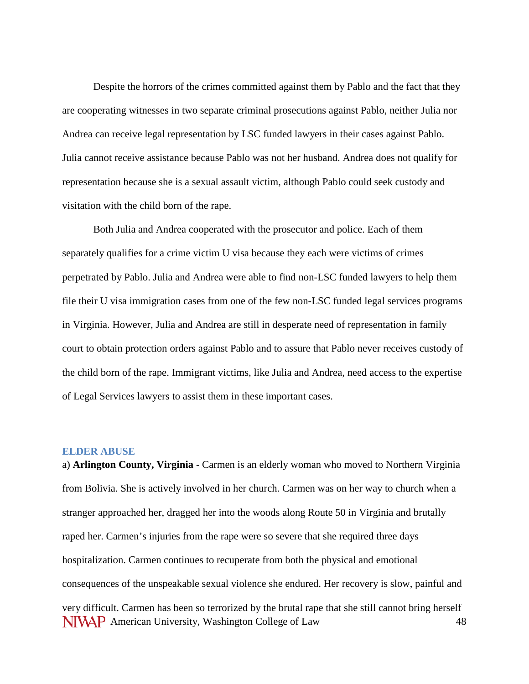Despite the horrors of the crimes committed against them by Pablo and the fact that they are cooperating witnesses in two separate criminal prosecutions against Pablo, neither Julia nor Andrea can receive legal representation by LSC funded lawyers in their cases against Pablo. Julia cannot receive assistance because Pablo was not her husband. Andrea does not qualify for representation because she is a sexual assault victim, although Pablo could seek custody and visitation with the child born of the rape.

Both Julia and Andrea cooperated with the prosecutor and police. Each of them separately qualifies for a crime victim U visa because they each were victims of crimes perpetrated by Pablo. Julia and Andrea were able to find non-LSC funded lawyers to help them file their U visa immigration cases from one of the few non-LSC funded legal services programs in Virginia. However, Julia and Andrea are still in desperate need of representation in family court to obtain protection orders against Pablo and to assure that Pablo never receives custody of the child born of the rape. Immigrant victims, like Julia and Andrea, need access to the expertise of Legal Services lawyers to assist them in these important cases.

### **ELDER ABUSE**

NIVAP American University, Washington College of Law 48 a) **Arlington County, Virginia** - Carmen is an elderly woman who moved to Northern Virginia from Bolivia. She is actively involved in her church. Carmen was on her way to church when a stranger approached her, dragged her into the woods along Route 50 in Virginia and brutally raped her. Carmen's injuries from the rape were so severe that she required three days hospitalization. Carmen continues to recuperate from both the physical and emotional consequences of the unspeakable sexual violence she endured. Her recovery is slow, painful and very difficult. Carmen has been so terrorized by the brutal rape that she still cannot bring herself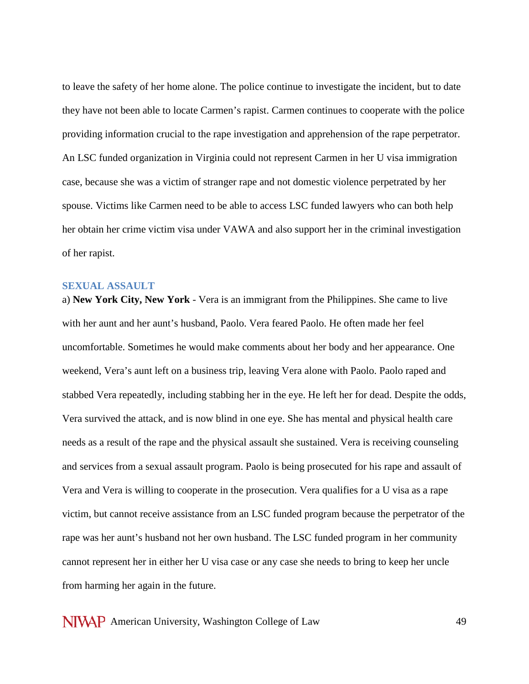to leave the safety of her home alone. The police continue to investigate the incident, but to date they have not been able to locate Carmen's rapist. Carmen continues to cooperate with the police providing information crucial to the rape investigation and apprehension of the rape perpetrator. An LSC funded organization in Virginia could not represent Carmen in her U visa immigration case, because she was a victim of stranger rape and not domestic violence perpetrated by her spouse. Victims like Carmen need to be able to access LSC funded lawyers who can both help her obtain her crime victim visa under VAWA and also support her in the criminal investigation of her rapist.

## **SEXUAL ASSAULT**

a) **New York City, New York** - Vera is an immigrant from the Philippines. She came to live with her aunt and her aunt's husband, Paolo. Vera feared Paolo. He often made her feel uncomfortable. Sometimes he would make comments about her body and her appearance. One weekend, Vera's aunt left on a business trip, leaving Vera alone with Paolo. Paolo raped and stabbed Vera repeatedly, including stabbing her in the eye. He left her for dead. Despite the odds, Vera survived the attack, and is now blind in one eye. She has mental and physical health care needs as a result of the rape and the physical assault she sustained. Vera is receiving counseling and services from a sexual assault program. Paolo is being prosecuted for his rape and assault of Vera and Vera is willing to cooperate in the prosecution. Vera qualifies for a U visa as a rape victim, but cannot receive assistance from an LSC funded program because the perpetrator of the rape was her aunt's husband not her own husband. The LSC funded program in her community cannot represent her in either her U visa case or any case she needs to bring to keep her uncle from harming her again in the future.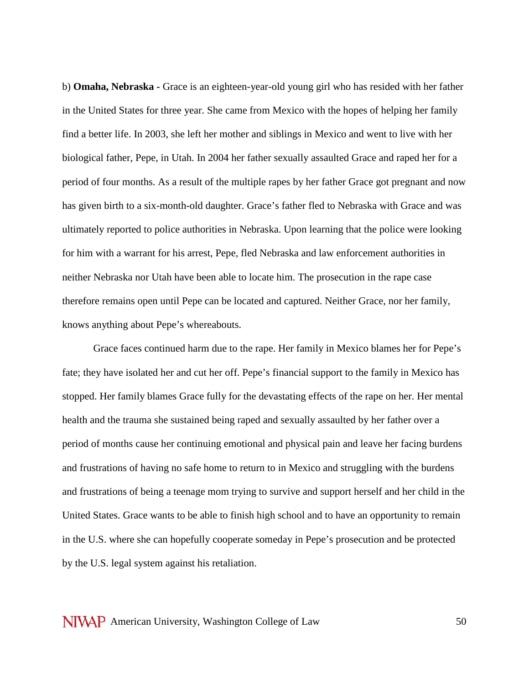b) **Omaha, Nebraska -** Grace is an eighteen-year-old young girl who has resided with her father in the United States for three year. She came from Mexico with the hopes of helping her family find a better life. In 2003, she left her mother and siblings in Mexico and went to live with her biological father, Pepe, in Utah. In 2004 her father sexually assaulted Grace and raped her for a period of four months. As a result of the multiple rapes by her father Grace got pregnant and now has given birth to a six-month-old daughter. Grace's father fled to Nebraska with Grace and was ultimately reported to police authorities in Nebraska. Upon learning that the police were looking for him with a warrant for his arrest, Pepe, fled Nebraska and law enforcement authorities in neither Nebraska nor Utah have been able to locate him. The prosecution in the rape case therefore remains open until Pepe can be located and captured. Neither Grace, nor her family, knows anything about Pepe's whereabouts.

Grace faces continued harm due to the rape. Her family in Mexico blames her for Pepe's fate; they have isolated her and cut her off. Pepe's financial support to the family in Mexico has stopped. Her family blames Grace fully for the devastating effects of the rape on her. Her mental health and the trauma she sustained being raped and sexually assaulted by her father over a period of months cause her continuing emotional and physical pain and leave her facing burdens and frustrations of having no safe home to return to in Mexico and struggling with the burdens and frustrations of being a teenage mom trying to survive and support herself and her child in the United States. Grace wants to be able to finish high school and to have an opportunity to remain in the U.S. where she can hopefully cooperate someday in Pepe's prosecution and be protected by the U.S. legal system against his retaliation.